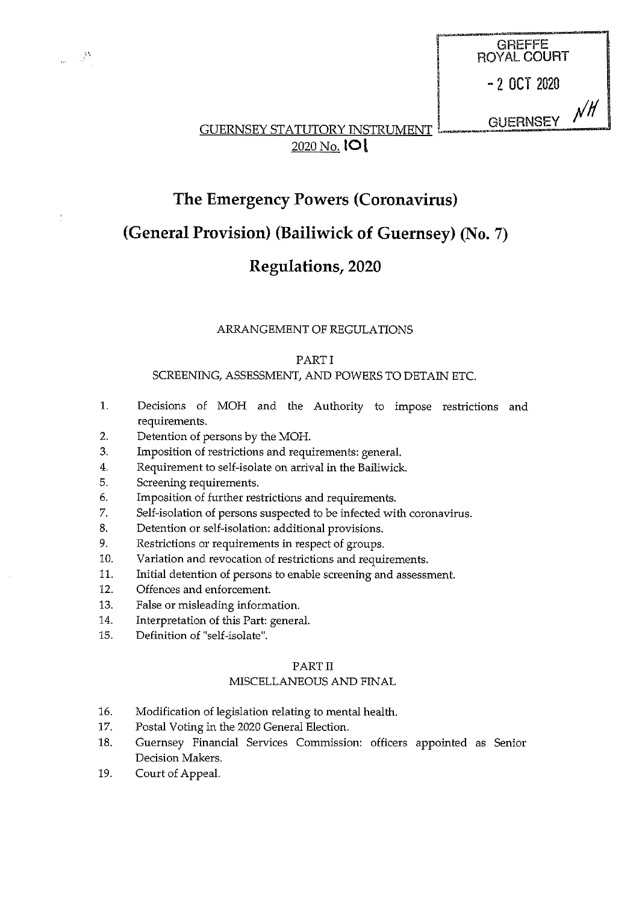

## The Emergency Powers (Coronavirus)

## (General Provision) (Bailiwick of Guernsey) (No. 7)

## Regulations, 2020

## ARRANGEMENT OF REGULATIONS

## PART I

## SCREENING, ASSESSMENT, AND POWERS TO DETAIN ETC.

- 1. Decisions of MOH and the Authority to impose restrictions and requirements.
- 2. Detention of persons by the MON.
- 3. Imposition of restrictions and requirements: general.
- 4. Requirement to self-isolate on arrival in the Bailiwick.
- 5. Screening requirements.

- 38

- 6. Imposition of further restrictions and requirements.
- 7. Self-isolation of persons suspected to be infected with coronavirus.
- 8. Detention or self-isolation: additional provisions.
- 9. Restrictions or requirements in respect of groups.
- 10. Variation and revocation of restrictions and requirements.
- 11. Initial detention of persons to enable screening and assessment.
- 12. Offences and enforcement.
- 13. False or misleading information.
- 14. Interpretation of this Part: general.
- 15. Definition of 'self-isolate'.

## PART II

## MISCELLANEOUS AND FINAL

- 16. Modification of legislation relating to mental health.
- 17. Postal Voting in the 2020 General Election.
- 18. Guernsey Financial Services Commission: officers appointed as Senior Decision Makers.
- 19. Court of Appeal.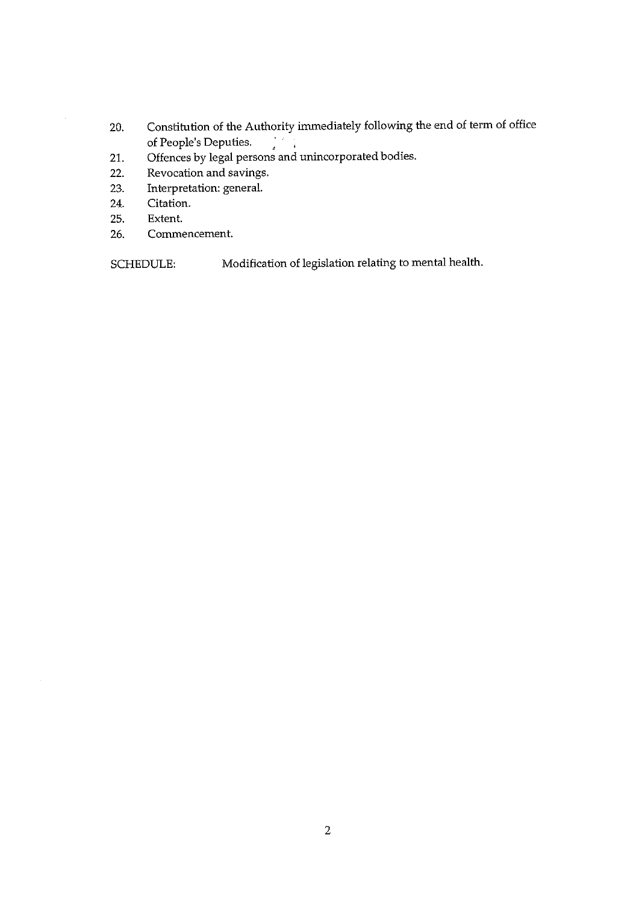- 20. Constitution of the Authority immediately following the end of term of office of People's Deputies. of People's Deputies. <sup>4</sup>
- 21. Offences by legal persons and unincorporated bodies.
- 22. Revocation and savings.
- 23. Interpretation: general.
- 24. Citation.
- 25. Extent.
- 26. Commencement.

SCHEDULE: Modification of legislation relating to mental health.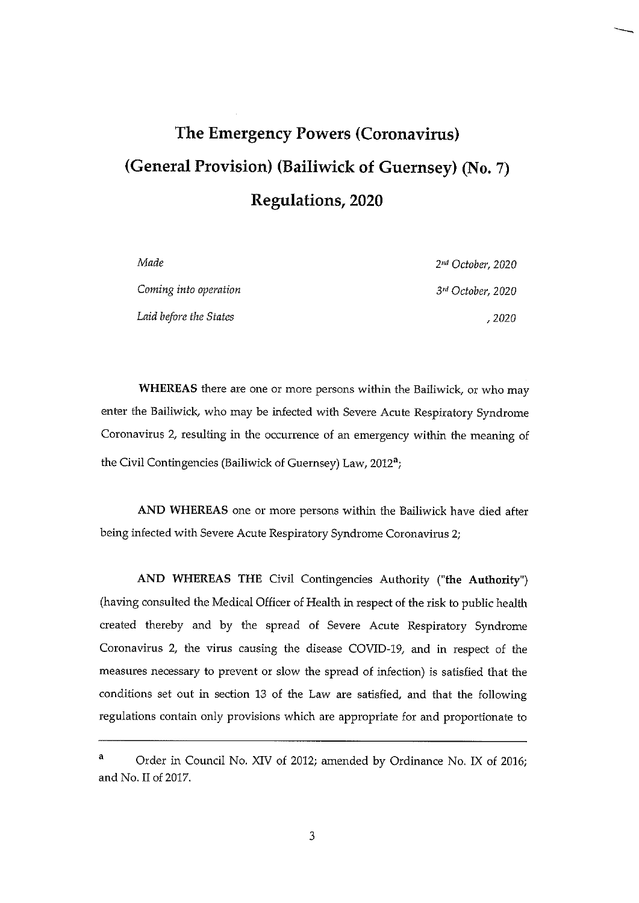# The Emergency Powers (Coronavirus) (General Provision) (Bailiwick of Guernsey) (No. 7) Regulations, 2020

| Made                   | 2 <sup>nd</sup> October, 2020 |
|------------------------|-------------------------------|
| Coming into operation  | 3 <sup>rd</sup> October, 2020 |
| Laid before the States | , 2020                        |

WHEREAS there are one or more persons within the Bailiwick, or who may enter the Bailiwick, who may be infected with Severe Acute Respiratory Syndrome Coronavirus 2, resulting in the occurrence of an emergency within the meaning of the Civil Contingencies (Bailiwick of Guernsey) Law, 2012<sup>a</sup>;

AND WHEREAS one or more persons within the Bailiwick have died after being infected with Severe Acute Respiratory Syndrome Coronavirus 2;

AND WHEREAS THE Civil Contingencies Authority ("the Authority") (having consulted the Medical Officer of Health in respect of the risk to public health created thereby and by the spread of Severe Acute Respiratory Syndrome Coronavirus 2, the virus causing the disease COVID-19, and in respect of the measures necessary to prevent or slow the spread of infection) is satisfied that the conditions set out in section 13 of the Law are satisfied, and that the following regulations contain only provisions which are appropriate for and proportionate to

<sup>&</sup>lt;sup>a</sup> Order in Council No. XIV of 2012; amended by Ordinance No. IX of 2016; and No. II of 2017.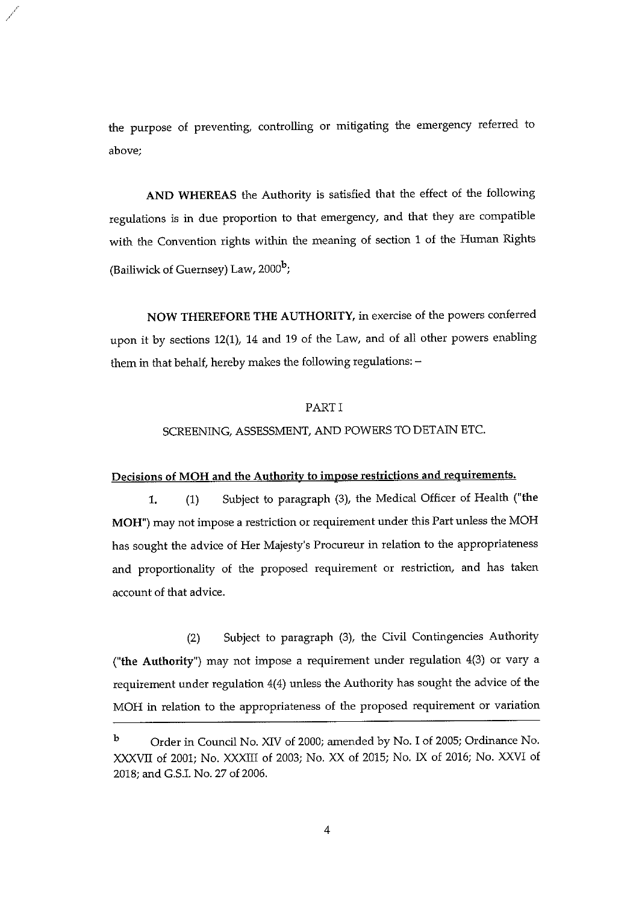the purpose of preventing, controlling or mitigating the emergency referred to above;

AND WHEREAS the Authority is satisfied that the effect of the following regulations is in due proportion to that emergency, and that they are compatible with the Convention rights within the meaning of section <sup>1</sup> of the Human Rights (Bailiwick of Guernsey) Law,  $2000<sup>b</sup>$ ;

NOW THEREFORE THE AUTHORITY, in exercise of the powers conferred upon it by sections 12(1), 14 and <sup>19</sup> of the Law, and of all other powers enabling them in that behalf, hereby makes the following regulations: —

#### PART I

#### SCREENING, ASSESSMENT, AND POWERS TO DETAIN ETC.

#### Decisions of MOH and the Authority to impose restrictions and requirements.

1. (1) Subject to paragraph (3), the Medical Officer of Health ("the MOH") may not impose <sup>a</sup> restriction or requirement under this Part unless the MOH has sought the advice of Her Majesty's Procureur in relation to the appropriateness and proportionality of the proposed requirement or restriction, and has taken account of that advice.

(2) Subject to paragraph (3), the Civil Contingencies Authority ("the Authority") may not impose <sup>a</sup> requirement under regulation 4(3) or vary a requirement under regulation 4(4) unless the Authority has sought the advice of the MOH in relation to the appropriateness of the proposed requirement or variation

b Order in Council No. XIV of 2000; amended by No. I of 2005; Ordinance No. XXXVII of 2001; No. XXXIII of 2003; No. XX of 2015; No. IX of 2016; No. XXVI of 2018; and G.S.I. No.27 of 2006.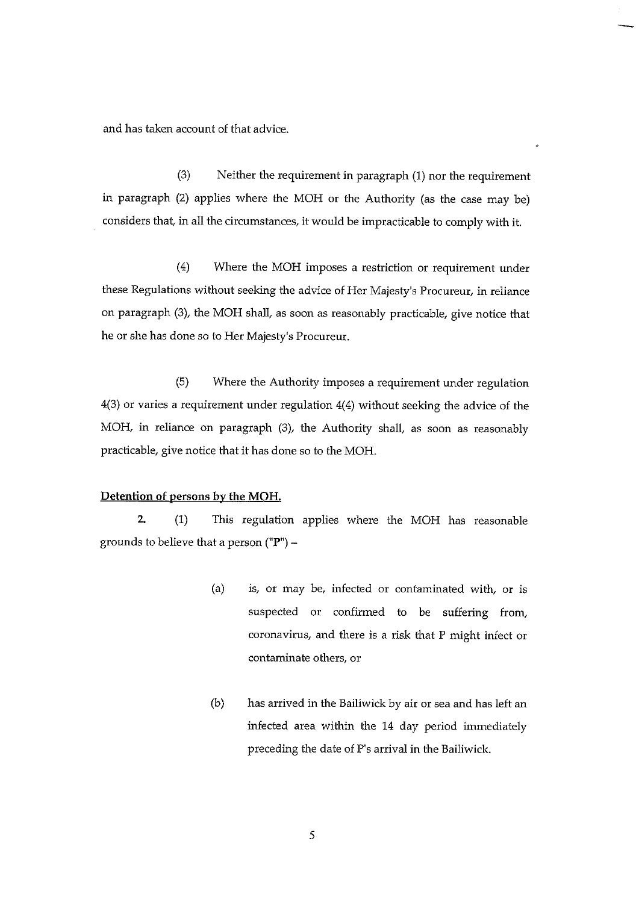and has taken account of that advice.

(3) Neither the requirement in paragraph (1) nor the requirement in paragraph (2) applies where the MOH or the Authority (as the case may be) considers that, in all the circumstances, it would be impracticable to comply with it.

(4) Where the MOM imposes a restriction or requirement under these Regulations without seeking the advice of Her Majesty's Procureur, in reliance on paragraph (3), the MOH shall, as soon as reasonably practicable, give notice that he or she has done so to Her Majesty's Procureur.

(5) Where the Authority imposes a requirement under regulation 4(3) or varies <sup>a</sup> requirement under regulation 4(4) without seeking the advice of the MOH, in reliance on paragraph (3), the Authority shall, as soon as reasonably practicable, give notice that it has done so to the MOH.

## Detention of persons by the MOH.

2. (1) This regulation applies where the MOH has reasonable grounds to believe that a person  $("P") -$ 

- (a) is, or may be, infected or contaminated with, or is suspected or confirmed to be suffering from, coronavirus, and there is <sup>a</sup> risk that P might infect or contaminate others, or
- (b) has arrived in the Bailiwick by air or sea and has left an infected area within the 14 day period immediately preceding the date of P's arrival in the Bailiwick.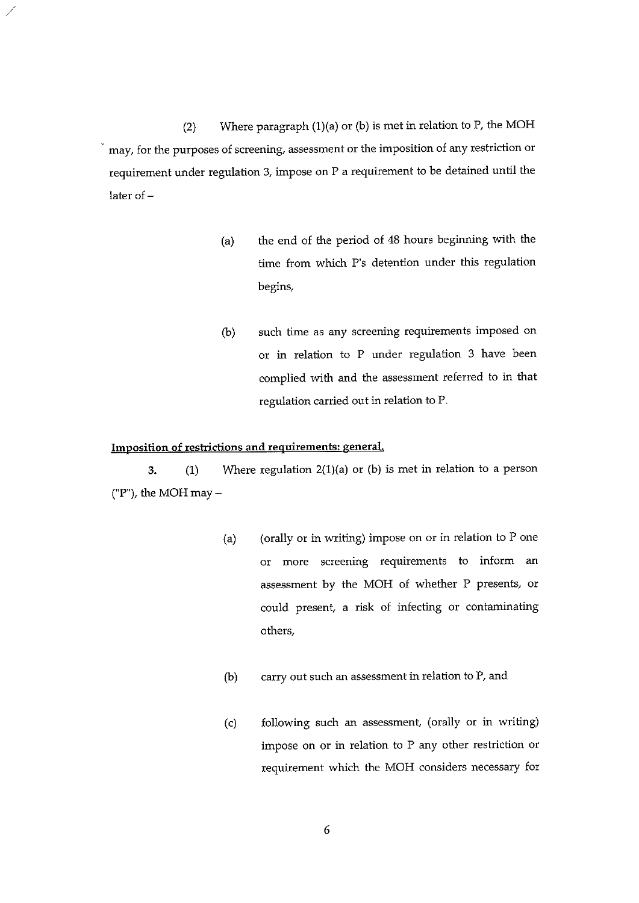(2) Where paragraph (1)(a) or (b) is met in relation to P, the MOH may, for the purposes of screening, assessment or the imposition of any restriction or requirement under regulation 3, impose on P <sup>a</sup> requirement to be detained until the later of —

- (a) the end of the period of 48 hours beginning with the time from which P's detention under this regulation begins,
- (b) such time as any screening requirements imposed on or in relation to P under regulation 3 have been complied with and the assessment referred to in that regulation carried out in relation to P.

### Imposition of restrictions and requirements: general.

3.  $(1)$  Where regulation 2(1)(a) or (b) is met in relation to a person ("F'), the MOH may —

- (a) (orally or in writing) impose on or in relation to  $P$  one or more screening requirements to inform an assessment by the MOH of whether P presents, or could present, a risk of infecting or contaminating others,
- (b) carry out such an assessment in relation to P. and
- (c) following such an assessment, (orally or in writing) impose on or in relation to P any other restriction or requirement which the MOH considers necessary for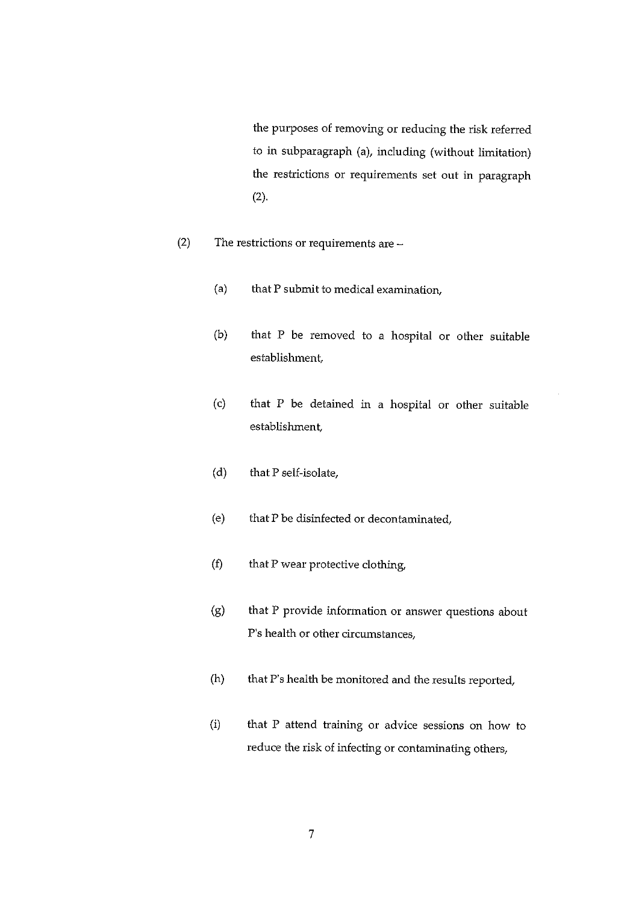the purposes of removing or reducing the risk referred to in subparagraph (a), including (without limitation) the restrictions or requirements set out in paragraph (2).

- (2) The restrictions or requirements are
	- (a) that P submit to medical examination,
	- (b) that P be removed to a hospital or other suitable establishment,
	- (c) that P be detained in a hospital or other suitable establishment,
	- (d) that P self-isolate,
	- (e) that P be disinfected or decontaminated,
	- $(f)$  that P wear protective clothing,
	- (g) that P provide information or answer questions about P's health or other circumstances,
	- (h) that P's health be monitored and the results reported,
	- (i) that P attend training or advice sessions on how to reduce the risk of infecting or contaminating others,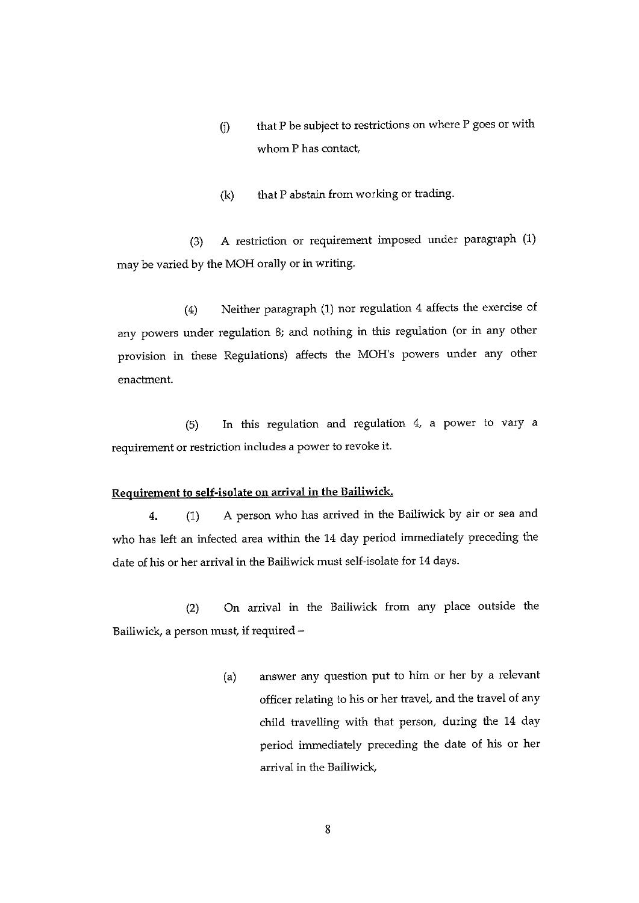- Q) that P be subject to restrictions on where P goes or with whom P has contact,
- $(k)$  that P abstain from working or trading.

(3) A restriction or requirement imposed under paragraph (1) may be varied by the MOH orally or in writing.

(4) Neither paragraph (1) nor regulation 4 affects the exercise of any powers under regulation 8; and nothing in this regulation (or in any other provision in these Regulations) affects the MOH's powers under any other enactment.

(5) In this regulation and regulation 4, a power to vary a requirement or restriction includes a power to revoke it.

#### Requirement to self-isolate on arrival in the Bailiwick.

4. (1) A person who has arrived in the Bailiwick by air or sea and who has left an infected area within the 14 day period immediately preceding the date of his or her arrival in the Bailiwick must self-isolate for 14 days.

(2) On arrival in the Bailiwick from any place outside the Bailiwick, <sup>a</sup> person must, if required —

> (a) answer any question put to him or her by a relevant officer relating to his or her travel, and the travel of any child travelling with that person, during the 14 day period immediately preceding the date of his or her arrival in the Bailiwick,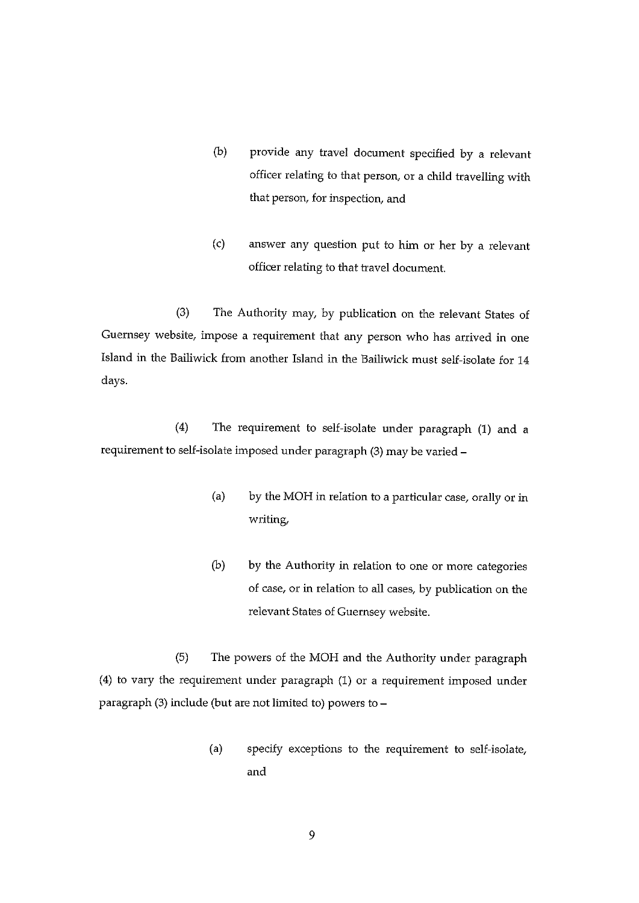- (b) provide any travel document specified by a relevant officer relating to that person, or <sup>a</sup> child travelling with that person, for inspection, and
- (c) answer any question put to him or her by <sup>a</sup> relevant officer relating to that travel document.

(3) The Authority may, by publication on the relevant States of Guernsey website, impose a requirement that any person who has arrived in one Island in the Bailiwick from another Island in the Bailiwick must self-isolate for 14 days.

(4) The requirement to self-isolate under paragraph (1) and a requirement to self-isolate imposed under paragraph (3) may be varied —

- (a) by the MOH in relation to a particular case, orally or in writing,
- (b) by the Authority in relation to one or more categories of case, or in relation to all cases, by publication on the relevant States of Guernsey website.

(5) The powers of the MOH and the Authority under paragraph (4) to vary the requirement under paragraph (1) or a requirement imposed under paragraph (3) include (but are not limited to) powers to —

> (a) specify exceptions to the requirement to self-isolate, and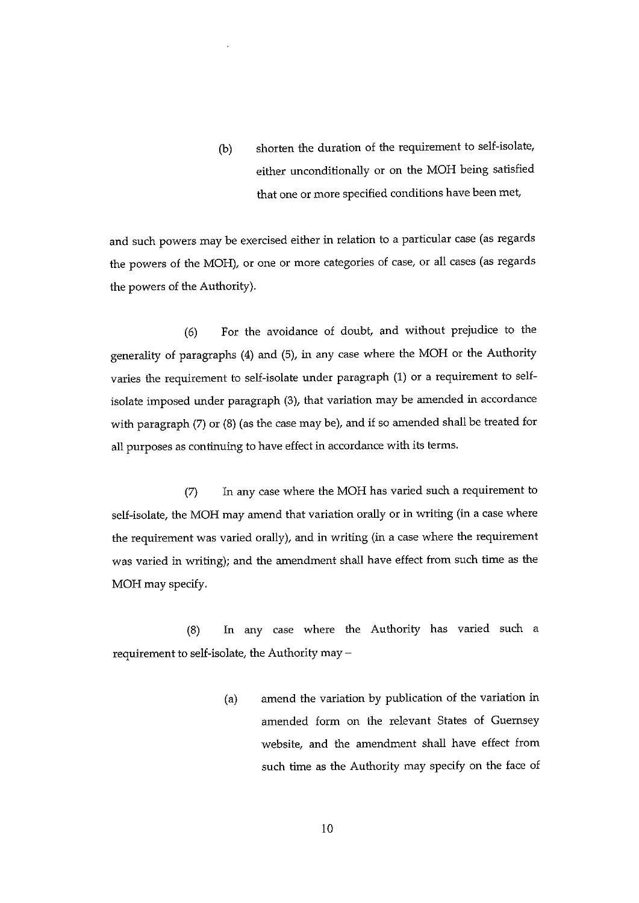(b) shorten the duration of the requirement to self-isolate, either unconditionally or on the MOH being satisfied that one or more specified conditions have been met

and such powers may be exercised either in relation to a particular case (as regards the powers of the MOH), or one or more categories of case, or all cases (as regards the powers of the Authority).

(6) For the avoidance of doubt, and without prejudice to the generality of paragraphs (4) and (5), in any case where the MOH or the Authority varies the requirement to self-isolate under paragraph (1) or a requirement to selfisolate imposed under paragraph (3), that variation may be amended in accordance with paragraph (7) or (8) (as the case may be), and if so amended shall be treated for all purposes as continuing to have effect in accordance with its terms.

(7) In any case where the MOH has varied such <sup>a</sup> requirement to self-isolate, the MOH may amend that variation orally or in writing (in <sup>a</sup> case where the requirement was varied orally), and in writing (in <sup>a</sup> case where the requirement was varied in writing); and the amendment shall have effect from such time as the MOH may specify.

(8) In any case where the Authority has varied such a requirement to self-isolate, the Authority may —

> (a) amend the variation by publication of the variation in amended form on the relevant States of Guernsey website, and the amendment shall have effect from such time as the Authority may specify on the face of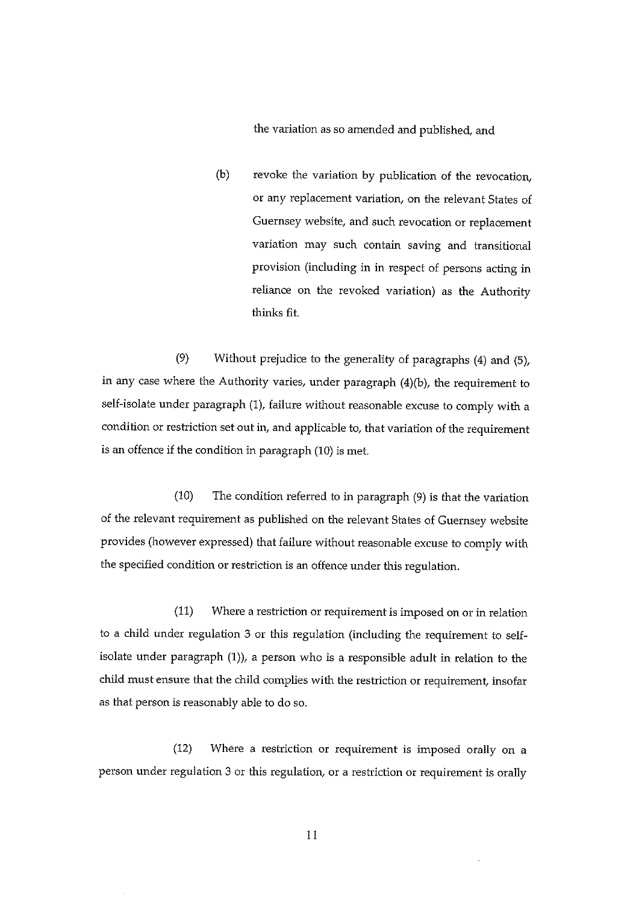the variation as so amended and published, and

(b) revoke the variation by publication of the revocation, or any replacement variation, on the relevant States of Guernsey website, and such revocation or replacement variation may such contain saving and transitional provision (including in in respect of persons acting in reliance on the revoked variation) as the Authority thinks fit.

(9) Without prejudice to the generality of paragraphs (4) and (5), in any case where the Authority varies, under paragraph (4)(b), the requirement to self-isolate under paragraph (1), failure without reasonable excuse to comply with a condition or restriction set out in, and applicable to, that variation of the requirement is an offence if the condition in paragraph (10) is met.

(10) The condition referred to in paragraph (9) is that the variation of the relevant requirement as published on the relevant States of Guernsey website provides (however expressed) that failure without reasonable excuse to comply with the specified condition or restriction is an offence under this regulation.

(11) Where a restriction or requirement is imposed on or in relation to <sup>a</sup> child under regulation <sup>3</sup> or this regulation (including the requirement to self isolate under paragraph (1)), a person who is a responsible adult in relation to the child must ensure that the child complies with the restriction or requirement, insofar as that person is reasonably able to do so.

(12) Where a restriction or requirement is imposed orally on a person under regulation 3 or this regulation, or a restriction or requirement is orally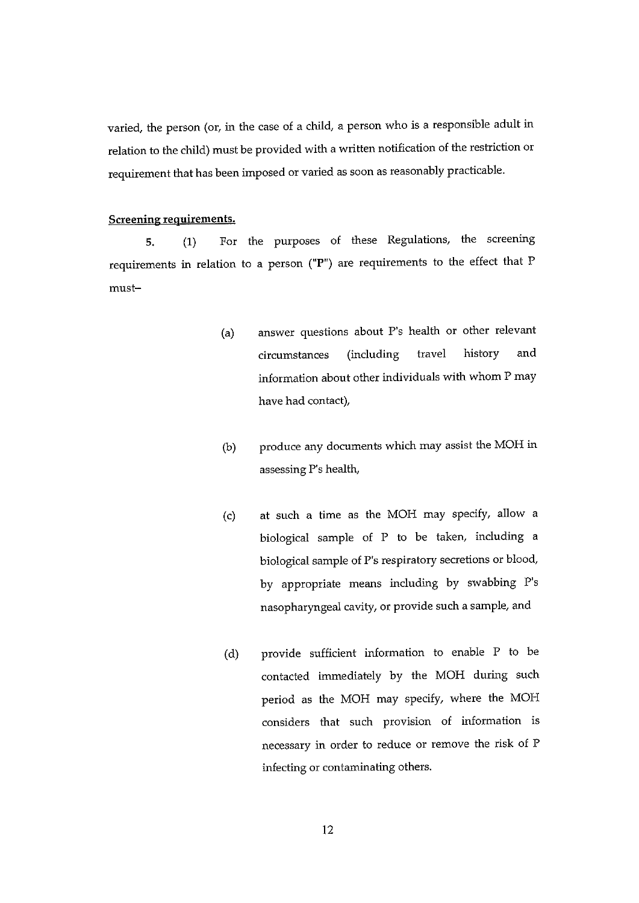varied, the person (or, in the case of a child, a person who is a responsible adult in relation to the child) must be provided with <sup>a</sup> written notification of the restriction or requirement that has been imposed or varied as soon as reasonably practicable.

#### Screening requirements.

5. (1) For the purposes of these Regulations, the screening requirements in relation to a person ("P") are requirements to the effect that P must—

- (a) answer questions about P's health or other relevant circumstances (including travel history and information about other individuals with whom P may have had contact),
- (b) produce any documents which may assist the MOH in assessing P's health,
- (c) at such a time as the MOH may specify, allow a biological sample of P to be taken, including <sup>a</sup> biological sample of P's respiratory secretions or blood, by appropriate means including by swabbing P's nasopharyngeal cavity, or provide such a sample, and
- (d) provide sufficient information to enable P to be contacted immediately by the MOH during such period as the MOH may specify, where the MOH considers that such provision of information is necessary in order to reduce or remove the risk of P infecting or contaminating others.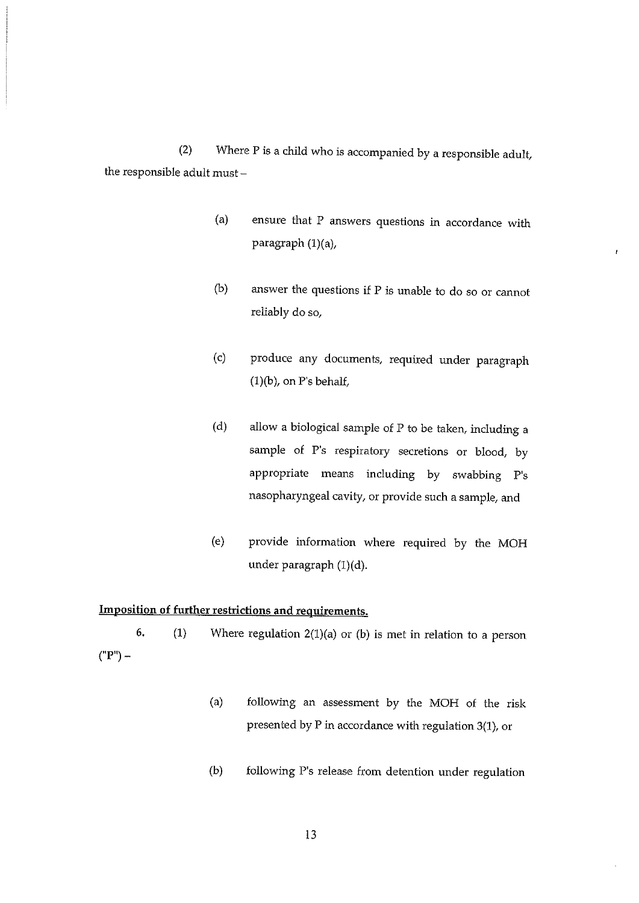(2) Where P is a child who is accompanied by a responsible adult, the responsible adult must —

> (a) ensure that P answers questions in accordance with paragraph  $(1)(a)$ ,

 $\mathbf{I}$ 

- (b) answer the questions if P is unable to do so or cannot reliably do so,
- (c) produce any documents, required under paragraph  $(1)(b)$ , on P's behalf,
- (d) allow <sup>a</sup> biological sample of P to be taken, including <sup>a</sup> sample of P's respiratory secretions or blood, by appropriate means including by swabbing P's nasopharyngeal cavity, or provide such a sample, and
- (e) provide information where required by the MOH under paragraph (1)(d).

## Imposition of further restrictions and requirements.

6. (1) Where regulation 2(1)(a) or (b) is met in relation to a person ("P") —

- (a) following an assessment by the MOR of the risk presented by P in accordance with regulation 3(1), or
- (b) following P's release from detention under regulation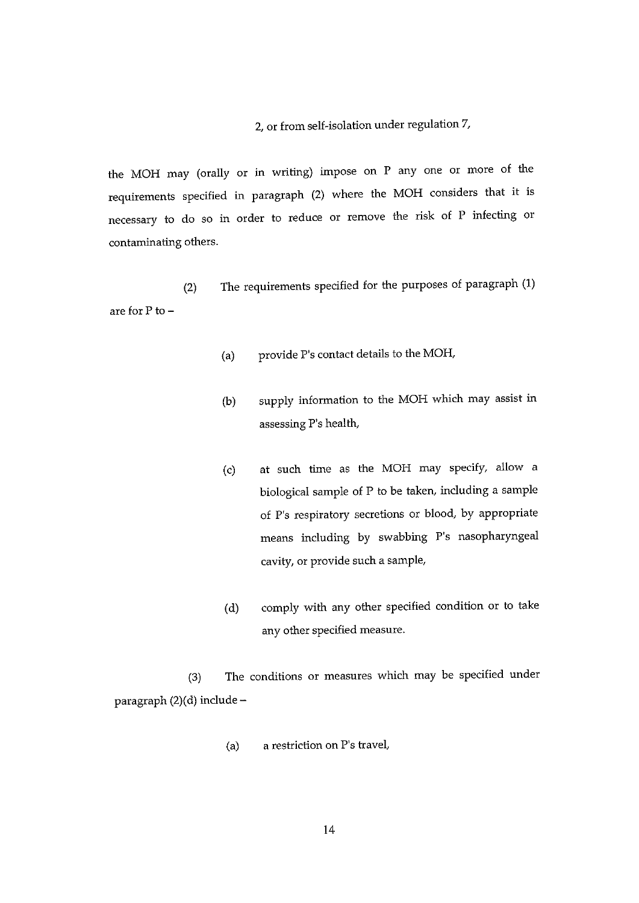## 2, or from self-isolation under regulation 7,

the MOH may (orally or in writing) impose on P any one or more of the requirements specified in paragraph (2) where the MOH considers that it is necessary to do so in order to reduce or remove the risk of P infecting or contaminating others.

(2) The requirements specified for the purposes of paragraph (1) are for P to —

- (a) provide P's contact details to the MOH,
- (b) supply information to the MOH which may assist in assessing P's health,
- (c) at such time as the MOH may specify, allow <sup>a</sup> biological sample of P to be taken, including <sup>a</sup> sample of P's respiratory secretions or blood, by appropriate means including by swabbing P's nasopharyngeal cavity, or provide such a sample,
- (d) comply with any other specified condition or to take any other specified measure.

(3) The conditions or measures which may be specified under paragraph (2)(d) include —

(a) a restriction on P's travel,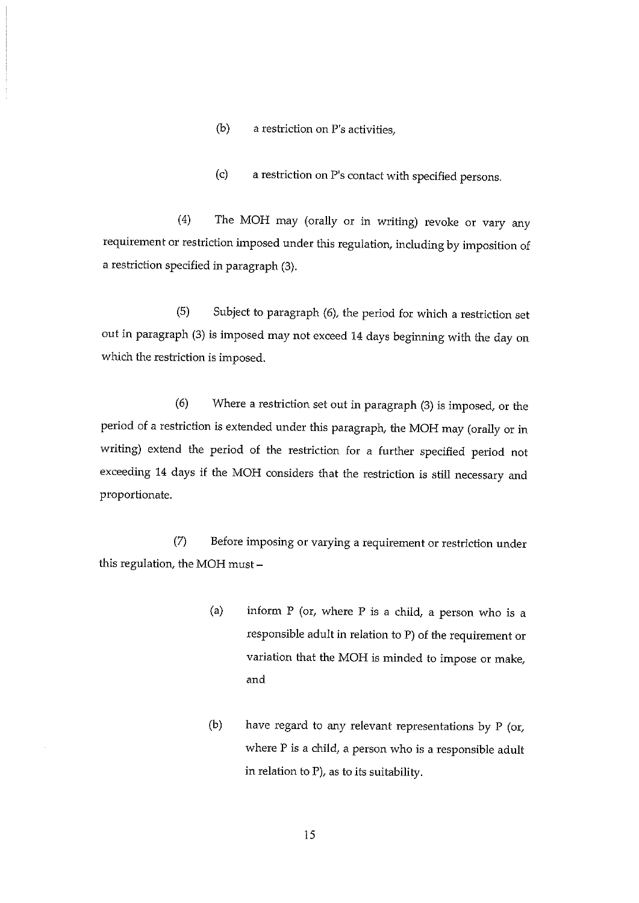$(b)$  a restriction on P's activities.

(c) <sup>a</sup> restriction on P's contact with specified persons.

(4) The MOH may (orally or in writing) revoke or vary any requirement or restriction imposed under this regulation, including by imposition of a restriction specified in paragraph (3).

(5) Subject to paragraph (6), the period for which a restriction set out in paragraph (3) is imposed may not exceed 14 days beginning with the day on which the restriction is imposed.

(6) Where a restriction set out in paragraph (3) is imposed, or the period of <sup>a</sup> restriction is extended under this paragraph, the MON may (orally or in writing) extend the period of the restriction for <sup>a</sup> further specified period not exceeding 14 days if the MOH considers that the restriction is still necessary and proportionate.

(7) Before imposing or varying <sup>a</sup> requirement or restriction under this regulation, the MOH must-

- (a) inform P (or, where P is <sup>a</sup> child, a person who is <sup>a</sup> responsible adult in relation to P) of the requirement or variation that the MOH is minded to impose or make, and
- (b) have regard to any relevant representations by P (or, where P is a child, a person who is a responsible adult in relation to F), as to its suitability.

15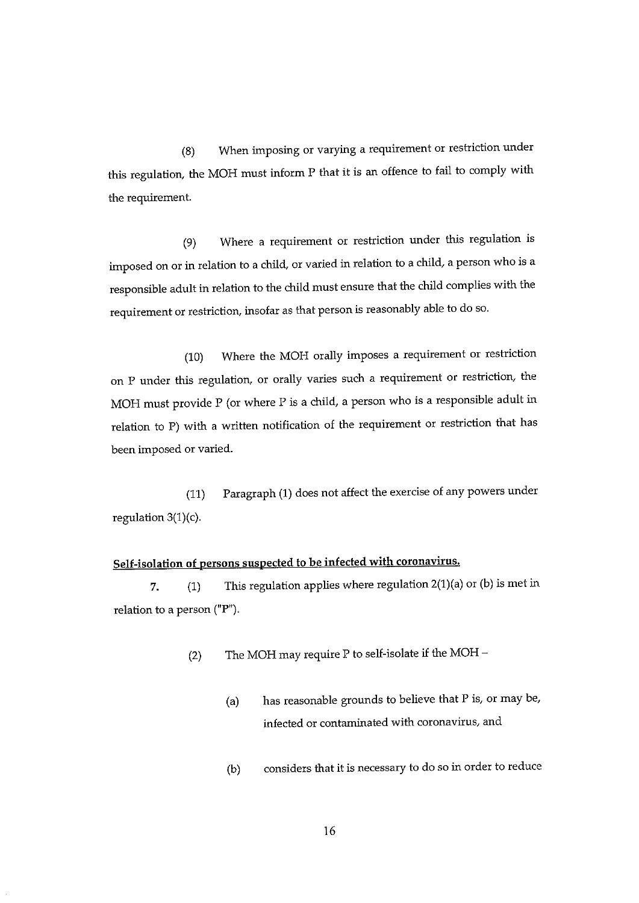(8) When imposing or varying a requirement or restriction under this regulation, the MOH must inform P that it is an offence to fail to comply with the requirement.

(9) Where a requirement or restriction under this regulation is imposed on or in relation to a child, or varied in relation to a child, a person who is a responsible adult in relation to the child must ensure that the child complies with the requirement or restriction, insofar as that person is reasonably able to do so.

(10) Where the MOH orally imposes a requirement or restriction on P under this regulation, or orally varies such a requirement or restriction, the MOH must provide P (or where P is a child, <sup>a</sup> person who is <sup>a</sup> responsible adult in relation to P) with <sup>a</sup> written notification of the requirement or restriction that has been imposed or varied.

(11) Paragraph (1) does not affect the exercise of any powers under regulation 3(1)(c).

## Self-isolation of persons suspected to be infected with coronavirus.

7. (1) This regulation applies where regulation 2(1)(a) or (b) is met in relation to a person ("P").

(2) The MOH may require P to self-isolate if the MOH  $-$ 

- (a) has reasonable grounds to believe that P is, or may be, infected or contaminated with coronavirus, and
- (b) considers that it is necessary to do so in order to reduce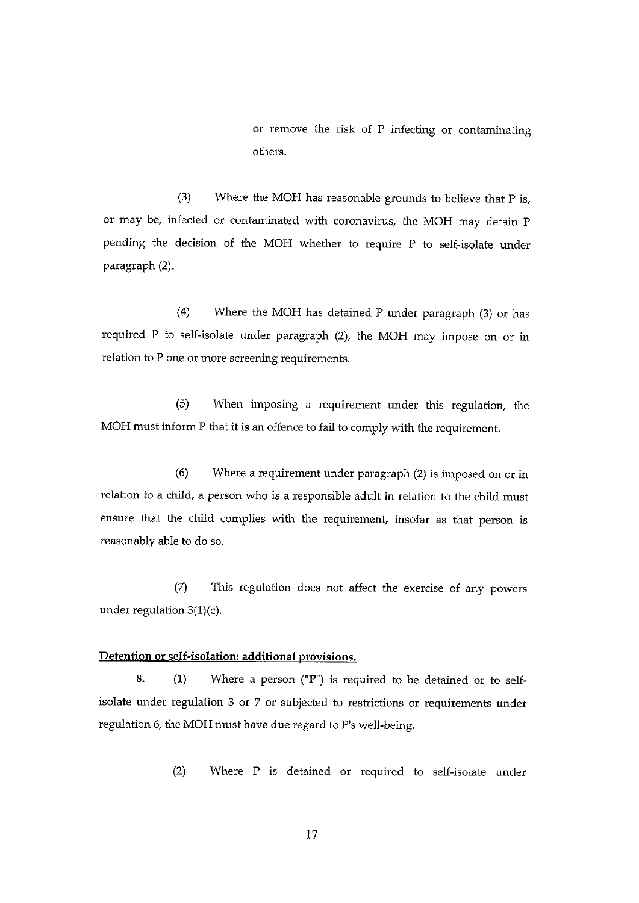or remove the risk of P infecting or contaminating others.

(3) Where the MOH has reasonable grounds to believe that  $P$  is, or may be, infected or contaminated with coronavirus, the MOH may detain P pending the decision of the MON whether to require P to self-isolate under paragraph (2).

(4) Where the MON has detained P under paragraph (3) or has required P to self-isolate under paragraph (2), the MON may impose on or in relation to P one or more screening requirements.

(5) When imposing a requirement under this regulation, the MON must inform P that it is an offence to fail to comply with the requirement.

(6) Where a requirement under paragraph (2) is imposed on or in relation to a child, a person who is a responsible adult in relation to the child must ensure that the child complies with the requirement, insofar as that person is reasonably able to do so.

(7) This regulation does not affect the exercise of any powers under regulation 3(1)(c).

## Detention or self-isolation: additional provisions.

8.  $(1)$  Where a person ("P") is required to be detained or to selfisolate under regulation 3 or 7 or subjected to restrictions or requirements under regulation 6, the MOH must have due regard to P's well-being.

(2) Where P is detained or required to self-isolate under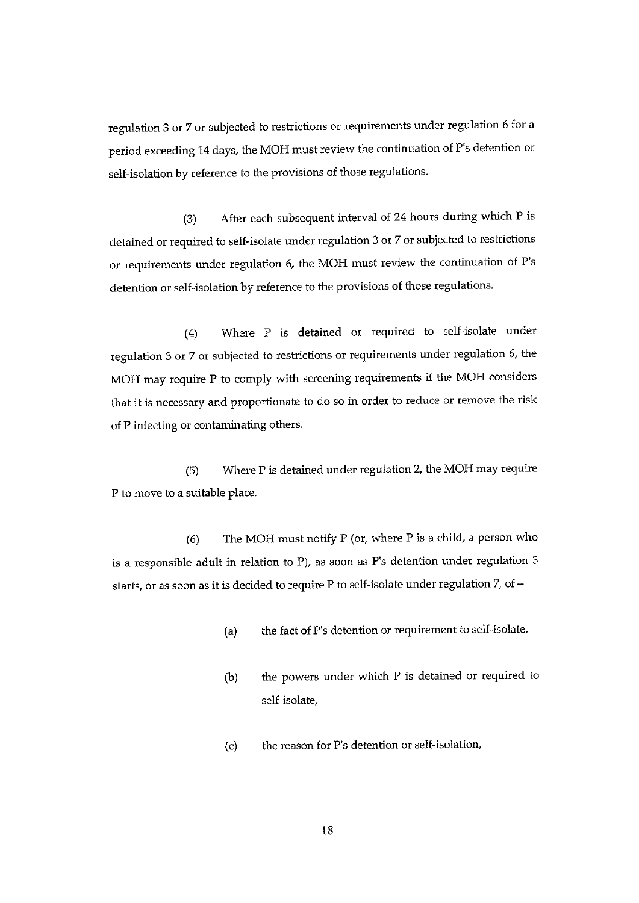regulation 3 or 7 or subjected to restrictions or requirements under regulation 6 for a period exceeding 14 days, the MOH must review the continuation of P's detention or self-isolation by reference to the provisions of those regulations.

(3) After each subsequent interval of 24 hours during which P is detained or required to self-isolate under regulation 3 or 7 or subjected to restrictions or requirements under regulation 6, the MOH must review the continuation of P's detention or self-isolation by reference to the provisions of those regulations.

(4) Where P is detained or required to self-isolate under regulation 3 or 7 or subjected to restrictions or requirements under regulation 6, the MOH may require P to comply with screening requirements if the MOH considers that it is necessary and proportionate to do so in order to reduce or remove the risk of P infecting or contaminating others.

(5) Where P is detained under regulation 2, the MOH may require P to move to a suitable place.

(6) The MOH must notify P (or, where P is <sup>a</sup> child, <sup>a</sup> person who is a responsible adult in relation to P), as soon as P's detention under regulation 3 starts, or as soon as it is decided to require P to self-isolate under regulation 7, of -

- (a) the fact of P's detention or requirement to self-isolate,
- (b) the powers under which P is detained or required to self-isolate,
- (c) the reason for P's detention or self-isolation,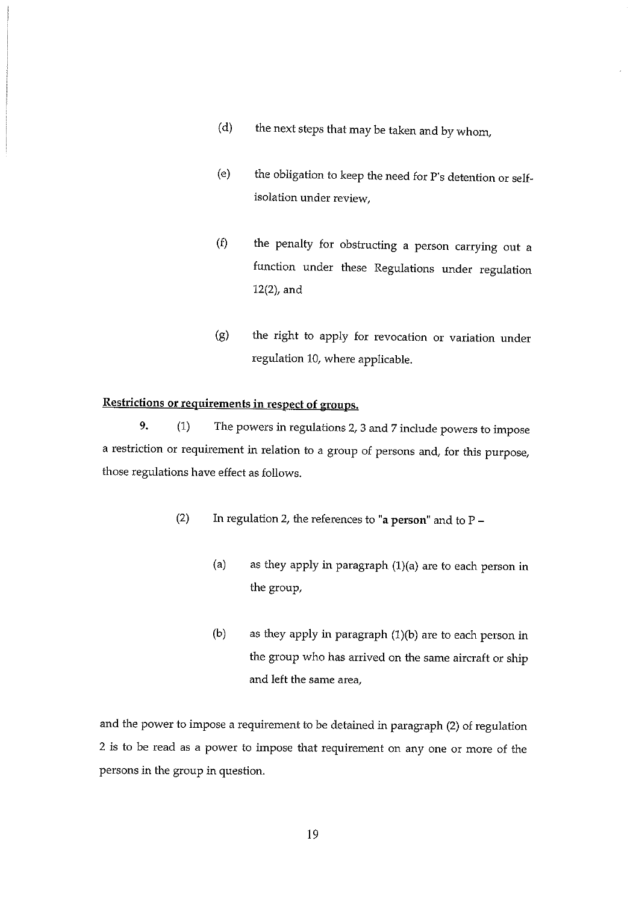- (d) the next steps that may be taken and by whom,
- (e) the obligation to keep the need for P's detention or self isolation under review,
- (f) the penalty for obstructing a person carrying out a function under these Regulations under regulation  $12(2)$ , and
- (g) the right to apply for revocation or variation under regulation 10, where applicable.

## Restrictions or requirements in respect of groups.

9. (1) The powers in regulations 2, 3 and 7 include powers to impose a restriction or requirement in relation to a group of persons and, for this purpose, those regulations have effect as follows.

- (2) In regulation 2, the references to "a person" and to  $P -$ 
	- (a) as they apply in paragraph  $(1)(a)$  are to each person in the group,
	- (b) as they apply in paragraph  $(1)(b)$  are to each person in the group who has arrived on the same aircraft or ship and left the same area,

and the power to impose a requirement to be detained in paragraph (2) of regulation 2 is to be read as a power to impose that requirement on any one or more of the persons in the group in question.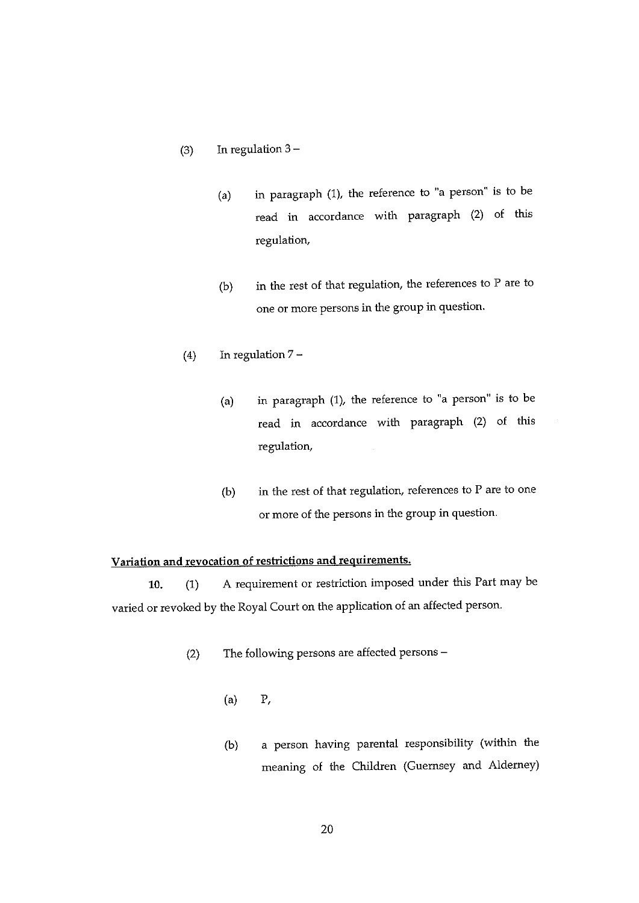- (3) In regulation  $3 -$ 
	- (a) in paragraph (1), the reference to "a person' is to be read in accordance with paragraph (2) of this regulation,
	- (b) in the rest of that regulation, the references to P are to one or more persons in the group in question.
- (4) In regulation 7
	- (a) in paragraph (1), the reference to "a person" is to be read in accordance with paragraph (2) of this regulation,
	- (b) in the rest of that regulation, references to  $P$  are to one or more of the persons in the group in question.

## Variation and revocation of restrictions and requirements.

10. (1) A requirement or restriction imposed under this Part may be varied or revoked by the Royal Court on the application of an affected person.

- (2) The following persons are affected persons
	- (a) P.
	- (b) <sup>a</sup> person having parental responsibility (within the meaning of the Children (Guernsey and Alderney)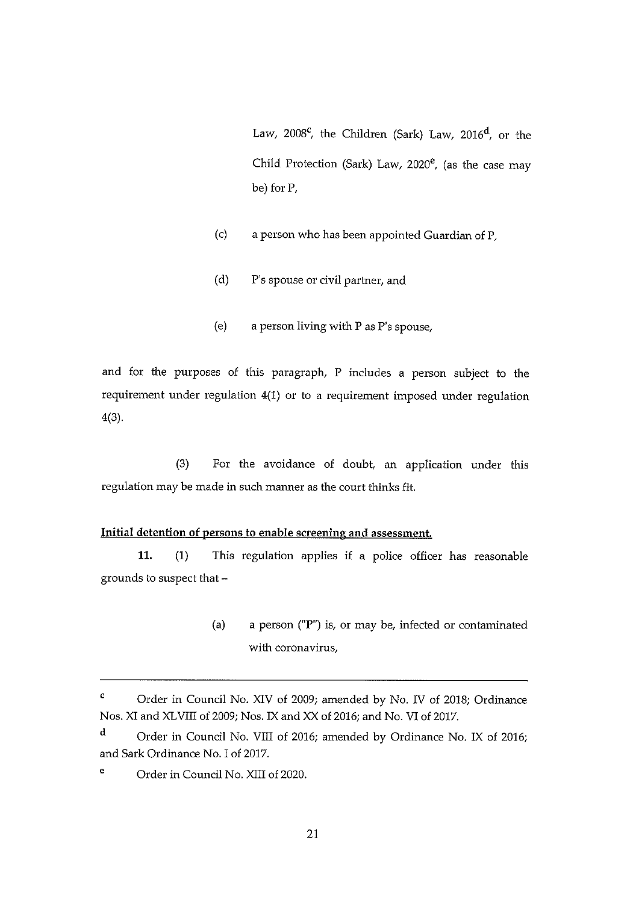Law, 2008<sup>c</sup>, the Children (Sark) Law, 2016<sup>d</sup>, or the Child Protection (Sark) Law, 2020°, (as the case may be) for P.

- (c) a person who has been appointed Guardian of P.
- (d) P's spouse or civil partner, and
- (e) <sup>a</sup> person living with P as P's spouse,

and for the purposes of this paragraph, P includes a person subject to the requirement under regulation 4(1) or to a requirement imposed under regulation 4(3).

(3) For the avoidance of doubt, an application under this regulation may be made in such manner as the court thinks fit.

## Initial detention of persons to enable screening and assessment.

11. (1) This regulation applies if <sup>a</sup> police officer has reasonable grounds to suspect that -

> (a) a person (" $P$ ") is, or may be, infected or contaminated with coronavirus,

<sup>C</sup> Order in Council No. XIV of 2009; amended by No. IV of 2018; Ordinance Nos. XI and XLVIII of 2009; Nos. IX and XX of 2016; and No. VI of 2017.

d Order in Council No. VIII of 2016; amended by Ordinance No. IX of 2016; and Sark Ordinance No. I of 2017.

<sup>&</sup>lt;sup>e</sup> Order in Council No. XIII of 2020.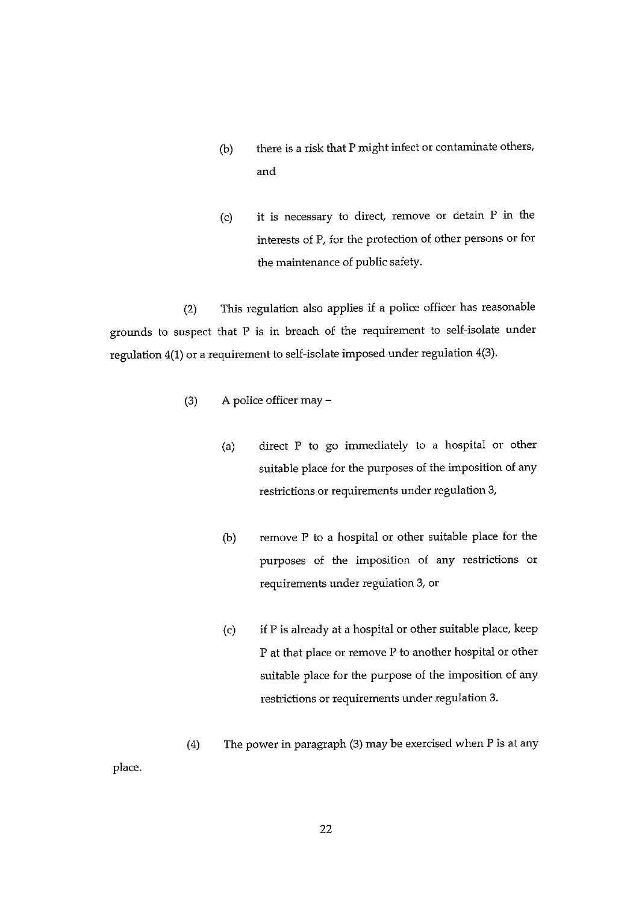- (b) there is <sup>a</sup> risk that P might infect or contaminate others, and
- (c) it is necessary to direct, remove or detain P in the interests of F, for the protection of other persons or for the maintenance of public safety.

(2) This regulation also applies if <sup>a</sup> police officer has reasonable grounds to suspect that P is in breach of the requirement to self-isolate under regulation 4(1) or a requirement to self-isolate imposed under regulation 4(3).

- (3) A police officer may
	- (a) direct P to go immediately to a hospital or other suitable place for the purposes of the imposition of any restrictions or requirements under regulation 3,
	- (b) remove P to a hospital or other suitable place for the purposes of the imposition of any restrictions or requirements under regulation 3, or
	- (c) if P is already at <sup>a</sup> hospital or other suitable place, keep P at that place or remove P to another hospital or other suitable place for the purpose of the imposition of any restrictions or requirements under regulation 3.
- (4) The power in paragraph (3) may be exercised when P is at any

place.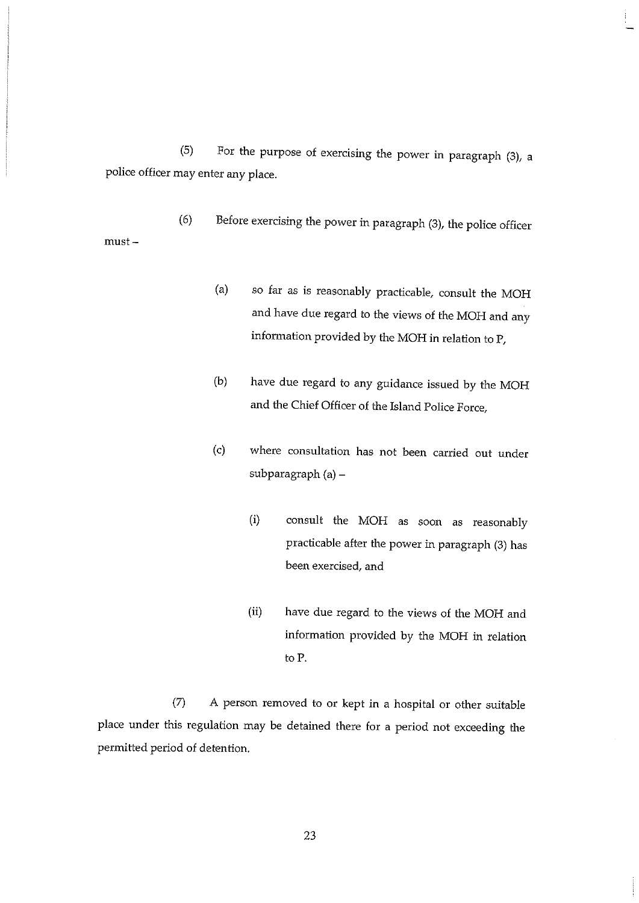(5) For the purpose of exercising the power in paragraph (3), a police officer may enter any place.

(6) Before exercising the power in paragraph (3), the police officer must —

- (a) so far as is reasonably practicable, consult the MOH and have due regard to the views of the MOH and any information provided by the MOH in relation to P,
- (b) have due regard to any guidance issued by the MOM and the Chief Officer of the Island Police Force,
- (c) where consultation has not been carried out under subparagraph (a) —
	- (i) consult the MOM as soon as reasonably practicable after the power in paragraph (3) has been exercised, and
	- (ii) have due regard to the views of the MOH and information provided by the MOM in relation to P.

(7) A person removed to or kept in <sup>a</sup> hospital or other suitable place under this regulation may be detained there for a period not exceeding the permitted period of detention.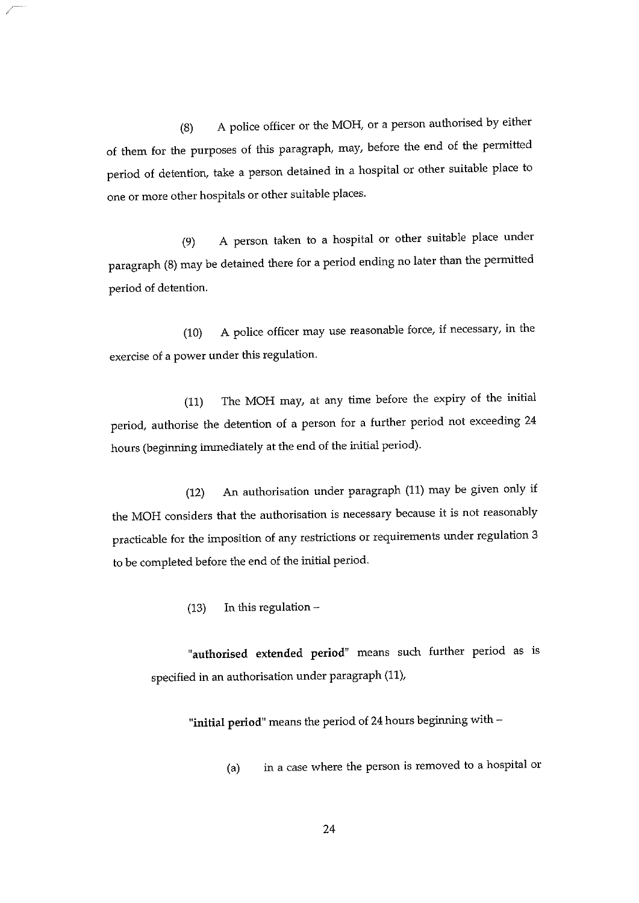(8) A police officer or the MOH, or <sup>a</sup> person authorised by either of them for the purposes of this paragraph, may, before the end of the permitted period of detention, take a person detained in a hospital or other suitable place to one or more other hospitals or other suitable places.

(9) A person taken to <sup>a</sup> hospital or other suitable place under paragraph (8) may be detained there for a period ending no later than the permitted period of detention.

(10) A police officer may use reasonable force, if necessary, in the exercise of a power under this regulation.

(11) The MOH may, at any time before the expiry of the initial period, authorise the detention of <sup>a</sup> person for <sup>a</sup> further period not exceeding 24 hours (beginning immediately at the end of the initial period).

(12) An authorisation under paragraph (11) may be given only if the MOH considers that the authorisation is necessary because it is not reasonably practicable for the imposition of any restrictions or requirements under regulation 3 to be completed before the end of the initial period.

(13) In this regulation —

"authorised extended period" means such further period as is specified in an authorisation under paragraph (11),

"initial period" means the period of 24 hours beginning with —

(a) in a case where the person is removed to <sup>a</sup> hospital or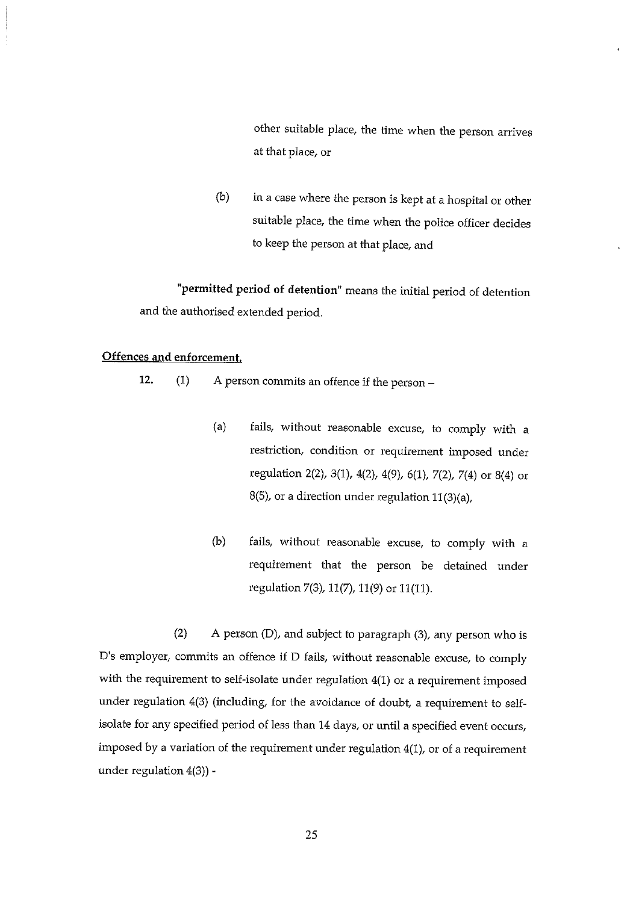other suitable place, the time when the person arrives at that place, or

(b) in a case where the person is kept at a hospital or other suitable place, the time when the police officer decides to keep the person at that place, and

"permitted period of detention" means the initial period of detention and the authorised extended period.

## Offences and enforcement.

12. (1) A person commits an offence if the person —

- (a) fails, without reasonable excuse, to comply with <sup>a</sup> restriction, condition or requirement imposed under regulation 2(2), 3(1), 4(2), 4(9), 6(1), 7(2), 7(4) or 8(4) or 8(5), or a direction under regulation 11(3)(a),
- (b) fails, without reasonable excuse, to comply with <sup>a</sup> requirement that the person be detained under regulation 7(3), 11(7), 11(9) or 11(11).

(2) A person (D), and subject to paragraph (3), any person who is D's employer, commits an offence if D fails, without reasonable excuse, to comply with the requirement to self-isolate under regulation 4(1) or <sup>a</sup> requirement imposed under regulation  $4(3)$  (including, for the avoidance of doubt, a requirement to selfisolate for any specified period of less than 14 days, or until <sup>a</sup> specified event occurs, imposed by a variation of the requirement under regulation 4(1), or of a requirement under regulation 4(3)) -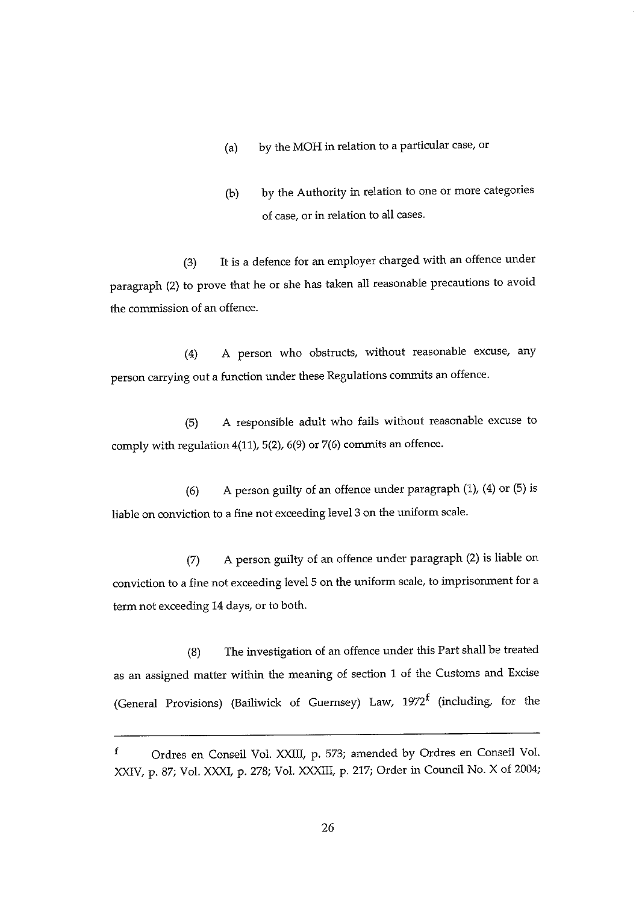- (a) by the MOH in relation to <sup>a</sup> particular case, or
- (b) by the Authority in relation to one or more categories of case, or in relation to all cases.

(3) It is <sup>a</sup> defence for an employer charged with an offence under paragraph (2) to prove that he or she has taken all reasonable precautions to avoid the commission of an offence.

(4) A person who obstructs, without reasonable excuse, any person carrying out a function under these Regulations commits an offence.

(5) A responsible adult who fails without reasonable excuse to comply with regulation 4(11), 5(2), 6(9) or 7(6) commits an offence.

(6) A person guilty of an offence under paragraph (1), (4) or (5) is liable on conviction to <sup>a</sup> fine not exceeding level 3 on the uniform scale.

(7) A person guilty of an offence under paragraph (2) is liable on conviction to <sup>a</sup> fine not exceeding level 5 on the uniform scale, to imprisonment for <sup>a</sup> term not exceeding 14 days, or to both.

(8) The investigation of an offence under this Part shall be treated as an assigned matter within the meaning of section <sup>1</sup> of the Customs and Excise (General Provisions) (Bailiwick of Guernsey) Law,  $1972^f$  (including, for the

 $\mathbf f$ Ordres en Conseil Vol. XXIII, p. 573; amended by Ordres en Conseil Vol. XXIV, p. 87; Vol. XXXI, p. 278; Vol. XXXIII, p. 217; Order in Council No. X of 2004;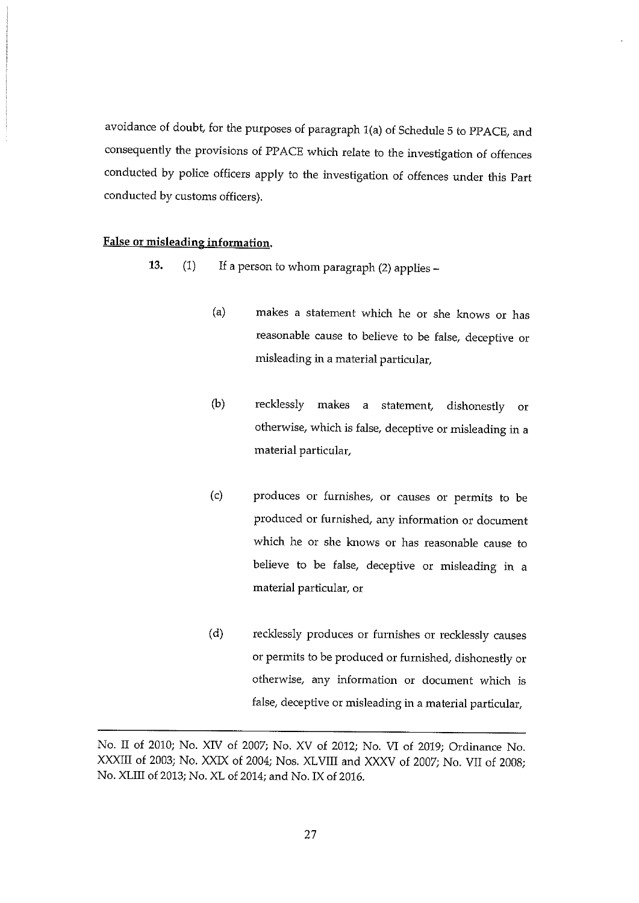avoidance of doubt, for the purposes of paragraph 1(a) of Schedule 5 to PPACE, arid consequently the provisions of PPACE which relate to the investigation of offences conducted by police officers apply to the investigation of offences under this Part conducted by customs officers).

### False or misleading information.

- 13. (1) If <sup>a</sup> person to whom paragraph (2) applies
	- (a) makes a statement which he or she knows or has reasonable cause to believe to be false, deceptive or misleading in a material particular,
	- (b) recklessly makes a statement, dishonestly or otherwise, which is false, deceptive or misleading in a material particular,
	- (c) produces or furnishes, or causes or permits to be produced or furnished, any information or document which he or she knows or has reasonable cause to believe to be false, deceptive or misleading in a material particular, or
	- (d) recklessly produces or furnishes or recklessly causes or permits to be produced or furnished, dishonestly or otherwise, any information or document which is false, deceptive or misleading in a material particular,

No. II of 2010; No. XIV of 2007; No. XV of 2012; No. VI of 2019; Ordinance No. XXXIII of 2003; No. XXIX of 2004; Nos. XLVIII and XXXV of 2007; No. VII of 2008; No. XLIII of 2013; No. XL of 2014; and No. IX of 2016.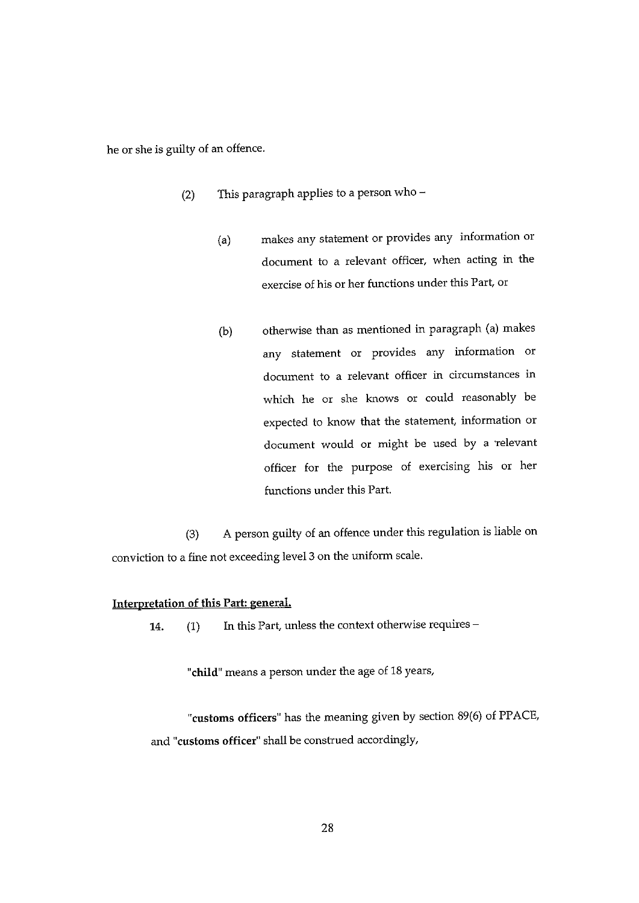he or she is guilty of an offence.

- (2) This paragraph applies to a person who  $-$ 
	- (a) makes any statement or provides any information or document to a relevant officer, when acting in the exercise of his or her functions under this Part, or
	- (b) otherwise than as mentioned in paragraph (a) makes any statement or provides any information or document to a relevant officer in circumstances in which he or she knows or could reasonably be expected to know that the statement, information or document would or might be used by <sup>a</sup> 'relevant officer for the purpose of exercising his or her functions under this Part.

(3) A person guilty of an offence under this regulation is liable on conviction to a fine not exceeding level <sup>3</sup> on the uniform scale.

## Interpretation of this Part: general,

14.  $(1)$  In this Part, unless the context otherwise requires –

"child" means a person under the age of 18 years,

"customs officers" has the meaning given by section 89(6) of PPACE, and "customs officer' shall be construed accordingly,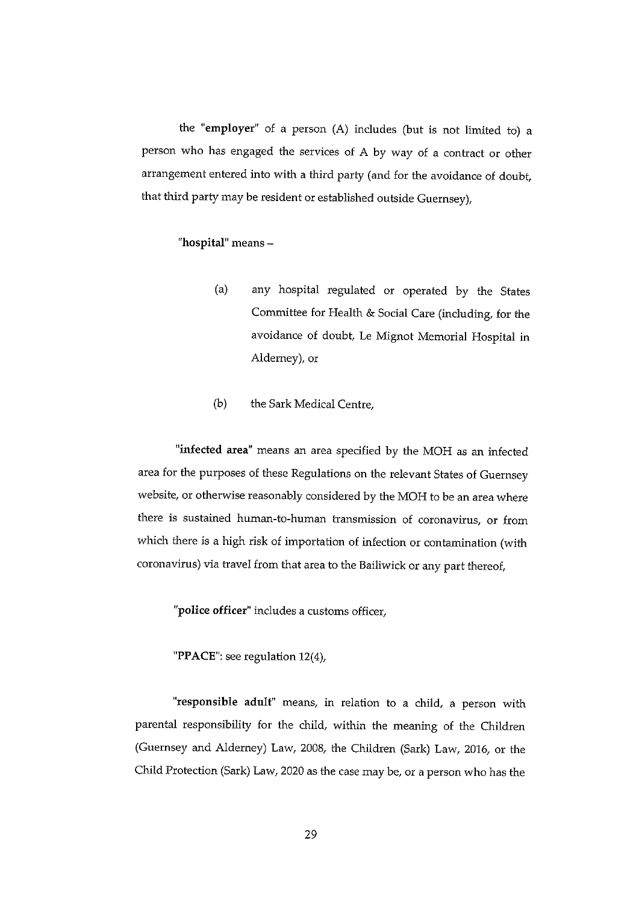the "employer" of a person  $(A)$  includes (but is not limited to) a person who has engaged the services of A by way of <sup>a</sup> contract or other arrangement entered into with <sup>a</sup> third party (and for the avoidance of doubt, that third party may be resident or established outside Guernsey),

## "hospital" means —

- (a) any hospital regulated or operated by the States Committee for Health & Social Care (including, for the avoidance of doubt, Le Mignot Memorial Hospital in Alderney), or
- (b) the Sark Medical Centre,

"infected area" means an area specified by the MOH as an infected area for the purposes of these Regulations on the relevant States of Guernsey website, or otherwise reasonably considered by the MON to be an area where there is sustained human-to-human transmission of coronavirus, or from which there is <sup>a</sup> high risk of importation of infection or contamination (with coronavirus) via travel from that area to the Bailiwick or any part thereof,

"police officer' includes <sup>a</sup> customs officer,

"PPACE": see regulation 12(4),

'responsible adult" means, in relation to <sup>a</sup> child, <sup>a</sup> person with parental responsibility for the child, within the meaning of the Children (Guernsey and Alderney) Law, 2008, the Children (Sark) Law, 2016, or the Child Protection (Sark) Law, 2020 as the case may be, or a person who has the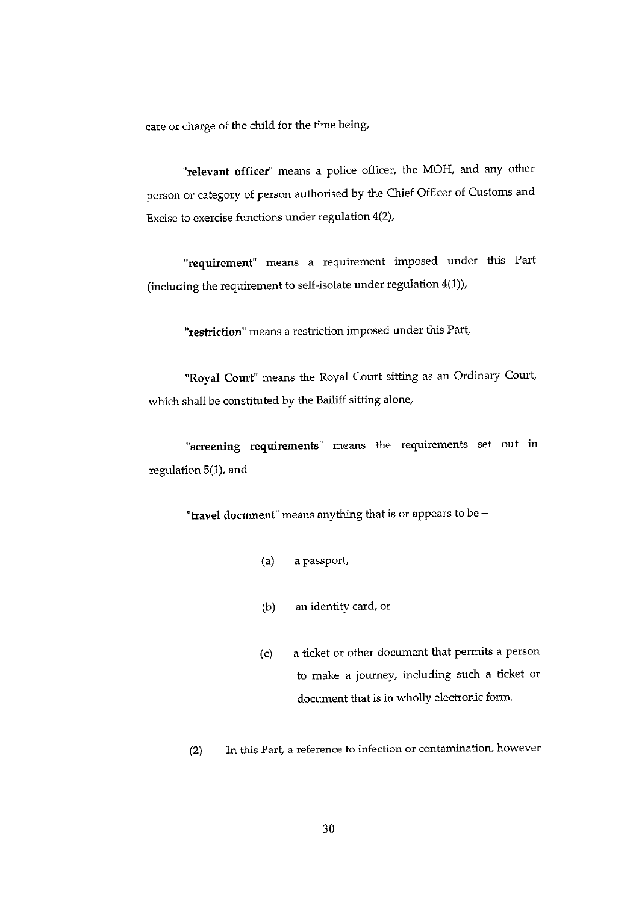care or charge of the child for the time being,

"relevant officer" means a police officer, the MOH, and any other person or category of person authorised by the Chief Officer of Customs and Excise to exercise functions under regulation 4(2),

requirement" means a requirement imposed under this Part (including the requirement to self-isolate under regulation 4(1)),

"restriction" means <sup>a</sup> restriction imposed under this Part

"Royal Court" means the Royal Court sitting as an Ordinary Court which shall be constituted by the Bailiff sitting alone,

"screening requirements" means the requirements set out in regulation 5(1), and

"travel document" means anything that is or appears to be —

- (a) a passport,
- (b) an identity card, or
- (c) a ticket or other document that permits a person to make <sup>a</sup> journey, including such <sup>a</sup> ticket or document that is in wholly electronic form.
- (2) In this Part, a reference to infection or contamination, however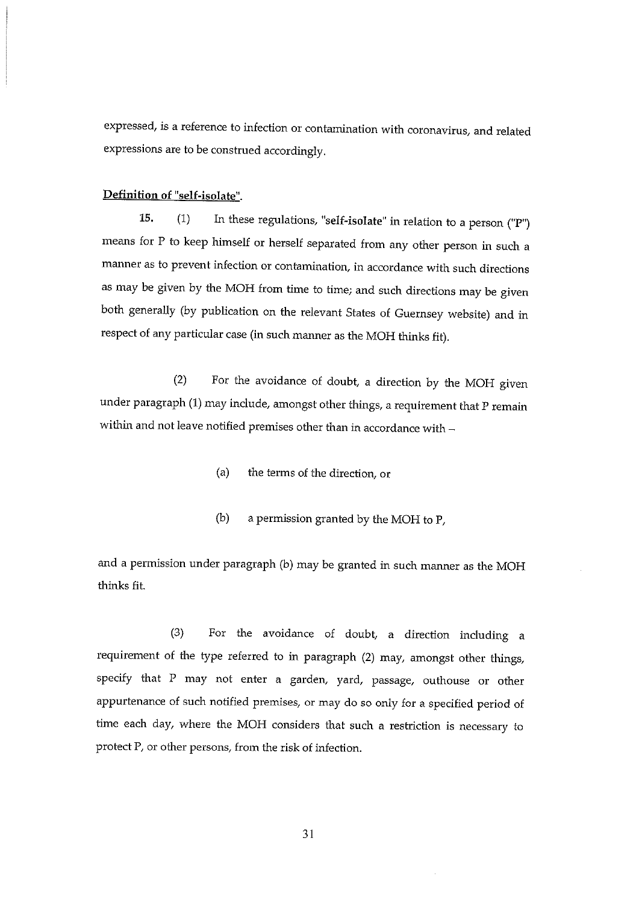expressed, is a reference to infection or contamination with coronavirus, and related expressions are to be construed accordingly.

## Definition of "self-isolate".

15. (1) In these regulations, "self-isolate" in relation to a person ("P") means for P to keep himself or herself separated from any other person in such a manner as to prevent infection or contamination, in accordance with such directions as may be given by the MOH from time to time; and such directions may be given both generally (by publication on the relevant States of Guernsey website) and in respect of any particular case (in such manner as the MOR thinks fit).

(2) For the avoidance of doubt, <sup>a</sup> direction by the MOH given under paragraph (1) may include, amongst other things, a requirement that P remain within and not leave notified premises other than in accordance with —

- (a) the terms of the direction, or
- (b) <sup>a</sup> permission granted by the MOH to P.

and <sup>a</sup> permission under paragraph (b) may be granted in such manner as the MOH thinks fit.

(3) For the avoidance of doubt, <sup>a</sup> direction including <sup>a</sup> requirement of the type referred to in paragraph (2) may, amongst other things, specify that P may not enter a garden, yard, passage, outhouse or other appurtenance of such notified premises, or may do so only for a specified period of time each day, where the MOH considers that such a restriction is necessary to protect F, or other persons, from the risk of infection.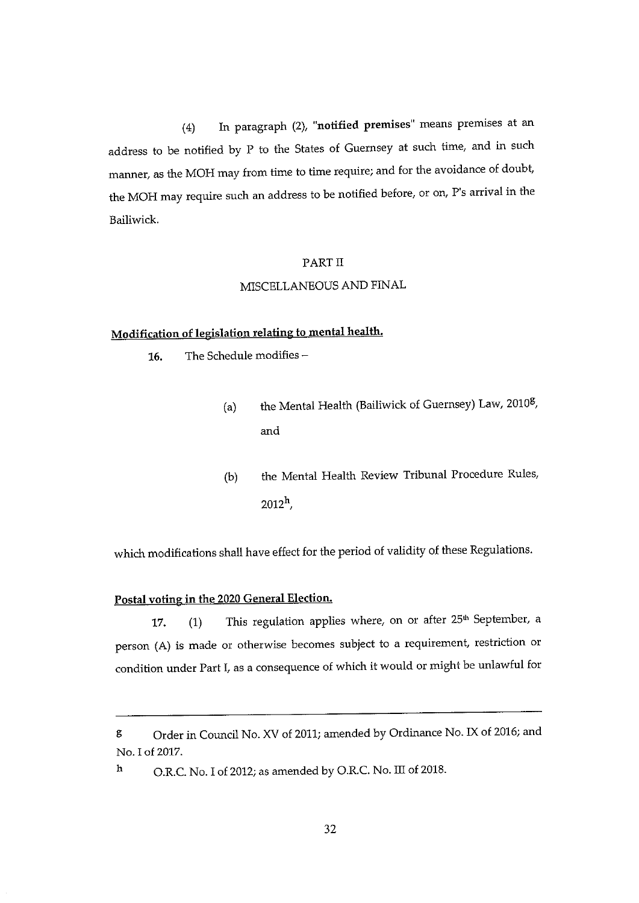(4) In paragraph (2), "notified premises" means premises at an address to be notified by P to the States of Guernsey at such time, and in such manner, as the MOH may from time to time require; and for the avoidance of doubt the MOH may require such an address to be notified before, or on, P's arrival in the Bailiwick.

#### PART II

## MISCELLANEOUS AND FINAL

## Modification of legislation relating to mental health.

16. The Schedule modifies —

- (a) the Mental Health (Bailiwick of Guernsey) Law,  $2010<sup>g</sup>$ , and
- (b) the Mental Health Review Tribunal Procedure Rules,  $2012^h$ ,

which modifications shall have effect for the period of validity of these Regulations.

## Postal voting in the 2020 General Election.

17. (1) This regulation applies where, on or after 25<sup>th</sup> September, a person (A) is made or otherwise becomes subject to a requirement, restriction or condition under Part I, as <sup>a</sup> consequence of which it would or might be unlawful for

h O.R.C. No. I of 2012; as amended by O.R.C. No. III of 2018.

g Order in Council No. XV of 2011; amended by Ordinance No. IX of 2016; and No.1 of 2017.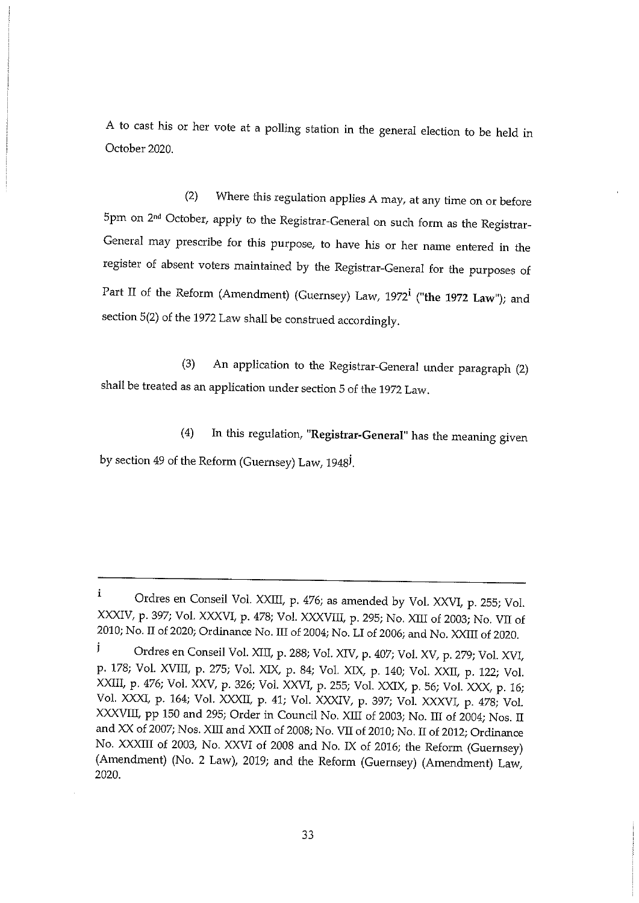A to cast his or her vote at <sup>a</sup> polling station in the general election to be held in October 2020.

(2) Where this regulation applies A may, at any time on or before 5pm on 2<sup>nd</sup> October, apply to the Registrar-General on such form as the Registrar-General may prescribe for this purpose, to have his or her name entered in the register of absent voters maintained by the Registrar-General for the purposes of Part II of the Reform (Amendment) (Guernsey) Law, 1972<sup>i</sup> ("the 1972 Law"); and section 5(2) of the 1972 Law shall be construed accordingly.

(3) An application to the Registrar-General under paragraph (2) shall be treated as an application under section 5 of the 1972 Law.

(4) In this regulation, "Registrar-General" has the meaning given by section 49 of the Reform (Guernsey) Law, 1948<sup>J</sup>.

 $\mathbf{i}$ Ordres en Conseil Vol. XXIII, p. 476; as amended by Vol. XXVI, p. 255; Vol. XXXIV, p. 397; Vol. XXXVI, p. 478; Vol. XXXVIII, p. 295; No. XIII of 2003; No. VII of 2010; No. II of 2020; Ordinance No. III of 2004; No. LI of 2006; and No. XXIII of 2020.

j Ordres en Conseil Vol. XIII, p. 288; Vol. XIV, p. 407; Vol. XV, p. 279; Vol. XVI, p. 178; Vol. XVIII, p. 275; Vol. XIX, p. 84; Vol. XIX, p. 140; Vol. XXII, p. 122; Vol. XXIII, p. 476; Vol. XXV, p. 326; Vol. XXVI, p. 255; Vol. XXIX, p. 56; Vol. XXX, p. 16; Vol. XXXI, p. 164; Vol. XXXII, p. 41, Vol. XXXIV, p. 397, Vol. XXXVI, p. 478, Vol. XXXVIII, pp 150 and 295; Order in Council No. XIII of 2003; No. III of 2004; Nos. II and XX of 2007; Nos. Xffl and XXII of 2008; No. VII of 2010; No. II of 2012; Ordinance No. XXXIII of 2003, No. XXVI of 2008 and No. IX of 2016; the Reform (Guernsey) (Amendment) (No. 2 Law), 2019; and the Reform (Guernsey) (Amendment) Law, 2020.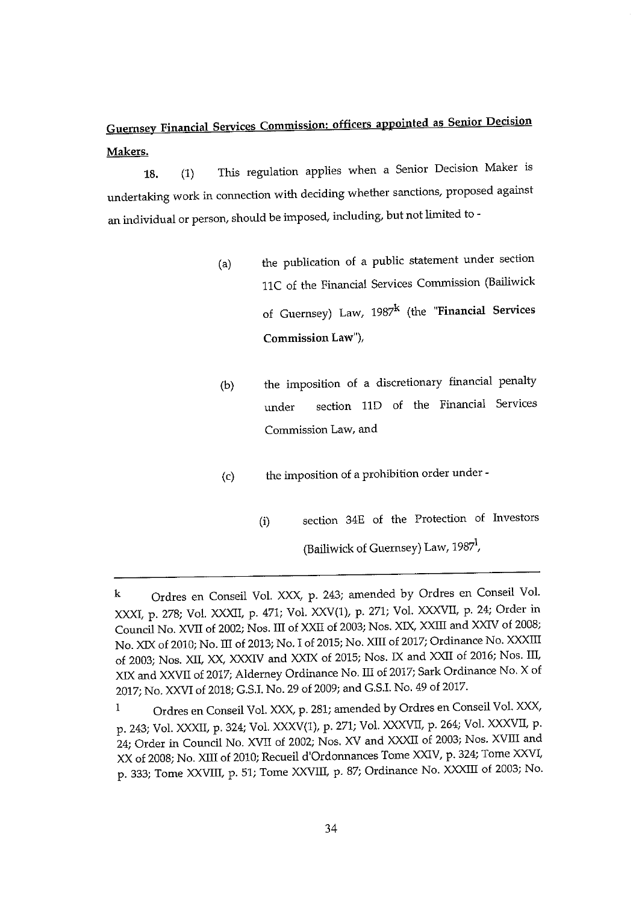## Guernsey Financial Services Commission: officers appointed as Senior Decision Makers.

18. (1) This regulation applies when a Senior Decision Maker is undertaking work in connection with deciding whether sanctions, proposed against an individual or person, should be imposed, including, but not limited to -

- (a) the publication of a public statement under section 11C of the Financial Services Commission (Bailiwick of Guernsey) Law,  $1987^k$  (the "Financial Services Commission Law"),
- (b) the imposition of a discretionary financial penalty under section liD of the Financial Services Commission Law, and
- (c) the imposition of <sup>a</sup> prohibition order under
	- (i) section 34E of the Protection of Investors (Bailiwick of Guernsey) Law, 1987<sup>1</sup>,

k Ordres en Conseil Vol. XXX, p. 243; amended by Ordres en Conseil Vol. XXXI, p. 278; Vol. XXXII, p. 471; Vol. XXV(1), p. 271; Vol. XXXVII, p. 24; Order in Council No. XVII of 2002; Nos. III of XXII of 2003; Nos. XIX, XXffl and XXIV of 2008; No. XIX of 2010; No. III of 2013; No. I of 2015; No. XIII of 2017; Ordinance No. XXXIII of 2003; Nos. XII, XX, XXXIV and XXIX of 2015; Nos. IX and XXII of 2016; Nos. III, XIX and XXVII of 2017; Alderney Ordinance No. III of 2017; Sark Ordinance No. X of 2017; No. XXVI of 2018; G.SJ. No.29 of 2009; and G.S.I. No. 49 of 2017.

Ordres en Conseil Vol. XXX, p. 281; amended by Ordres en Conseil Vol. XXX,  $\mathbf{1}$ p. 243; Vol. XXXII, p. 324; Vol. XXXV(1), p. 271; Vol. XXXVII, p. 264; Vol. XXXVII, p. 24; Order in Council No. XVII of 2002; Nos. XV and XXXII of 2003; Nos. XVIII and XX of 2008; No. XIII of 2010; Recueil d'Ordonnances Tome XXIV, p. 324; Tome XXVI, p. 333; Tome XXVIII, p. 51; Tome XXVIII, p. 87; Ordinance No. XXXIII of 2003; No.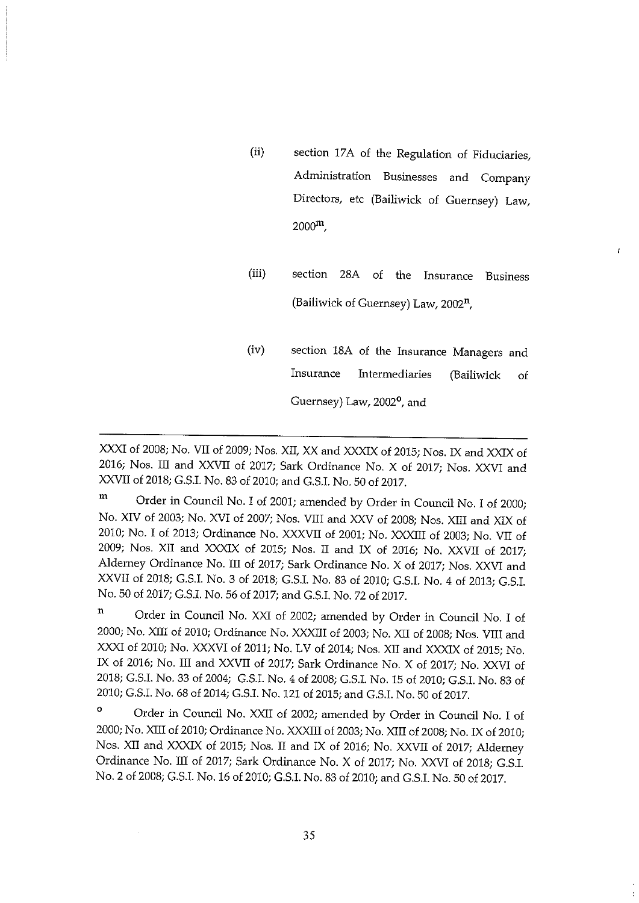- (ii) section 17A of the Regulation of Fiduciaries, Administration Businesses and Company Directors, etc (Bailiwick of Guernsey) Law,  $2000^{\rm m}$ .
- (iii) section 28A of the Insurance Business (Bailiwick of Guernsey) Law, 2002",

 $\mathbf{f}$ 

(iv) section 18A of the Insurance Managers and Insurance Intermediaries (Bailiwick of Guernsey) Law, 2002<sup>o</sup>, and

XXXI of 2008; No. VII of 2009; Nos. XII, XX arid XXXIX of 2015; Nos. IX arid XXIX of 2016; Nos. III and XXVII of 2017; Sark Ordinance No. X of 2017; Nos. XXVI and XXVII of 2018; G.S.I. No.83 of 2010; and G.S.I. No.50 of 2017.

m Order in Council No. I of 2001; amended by Order in Council No. I of 2000; No. XIV of 2003; No. XVI of 2007; Nos. VIII and XXV of 2008; Nos. XIII and XIX of 2010; No. I of 2013; Ordinance No. XXXVII of 2001; No. XXXIII of 2003; No. VII of 2009; Nos. XII and XXXIX of 2015; Nos. II and IX of 2016; No. XXVII of 2017; Alderney Ordinance No. III of 2017; Sark Ordinance No. X of 2017; Nos. XXVI and XXVII of 2018; G.5.I. No. 3 of 2018; G.S.L No. 83 of 2010; G.S.I. No. 4 of 2013; G.S.I. No. 50 of 2017; G.S.I. No. 56 of 2017; and G.S.I. No. 72 of 2017,

 $\mathbf n$ Order in Council No. XXI of 2002; amended by Order in Council No. I of 2000; No. XIII of 2010; Ordinance No. XXXIII of 2003; No. XII of 2008; Nos. VIII and XXXI of 2010; No. XXXVI of 2011; No. LV of 2014; Nos. XII and XXXIX of 2015; No. IX of 2016; No. III and XXVII of 2017; Sark Ordinance No. X of 2017; No. XXVI of 2018; G.S.I. No. 33 of 2004; G.S.L No. 4 of 2008; G.S.L No. 15 of 2010; G.S.I. No. 83 of 2010; G.S.I. No. 68 of 2014; G.5.I. No. 121 of 2015; and G.5.I. No.50 of 2017.

<sup>o</sup> Order in Council No. XXII of 2002; amended by Order in Council No. I of 2000; No. XIII of 2010; Ordinance No. XXXIII of 2003; No. XIII of 2008; No. IX of 2010; Nos. XII and XXXIX of 2015; Nos. II and IX of 2016; No. XXVII of 2017; Alderney Ordinance No. III of 2017; Sark Ordinance No. X of 2017; No. XXVI of 2018; G.S.I. No.2 of 2008; G.S.I. No. 16 of 2010; G.S.I. No, 83 of 2010; and G.S.I. No.50 of 2017.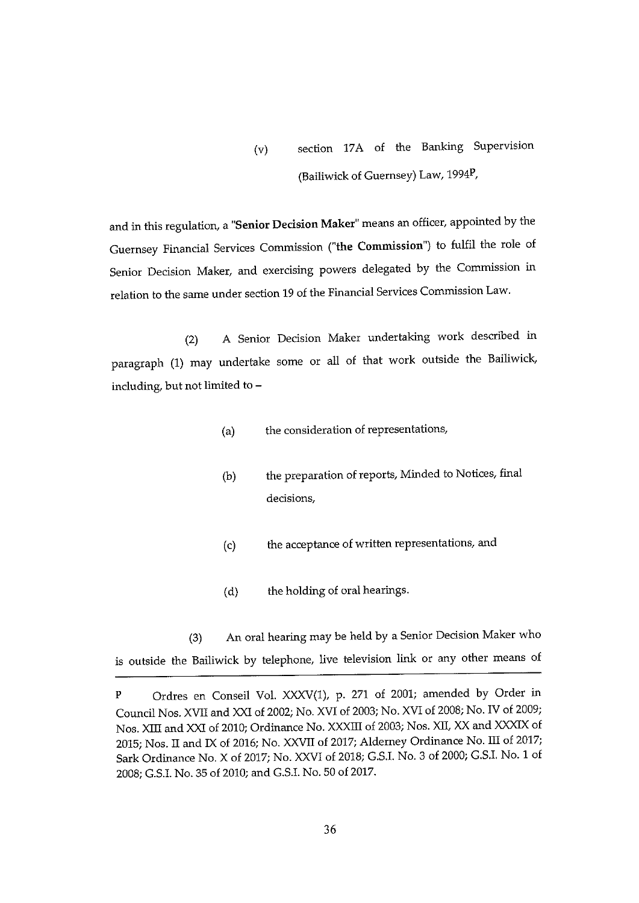(v) section 17A of the Banking Supervision (Bailiwick of Guernsey) Law, 1994P,

and in this regulation, a "Senior Decision Maker" means an officer, appointed by the Guernsey Financial Services Commission ("the Commission") to fulfil the role of Senior Decision Maker, and exercising powers delegated by the Commission in relation to the same under section 19 of the Financial Services Commission Law.

(2) A Senior Decision Maker undertaking work described in paragraph (1) may undertake some or all of that work outside the Bailiwick, including, but not limited to —

- (a) the consideration of representations,
- (b) the preparation of reports, Minded to Notices, final decisions,
- (c) the acceptance of written representations, and
- (d) the holding of oral hearings.

(3) An oral hearing may be held by a Senior Decision Maker who is outside the Bailiwick by telephone, live television link or any other means of

<sup>P</sup> Ordres en Conseil Vol. XXXV(1), p. 271 of 2001; amended by Order in Council Nos. XVII and XXI of 2002; No. XVI of 2003; No. XVI of 2008; No. IV of 2009; Nos. XIII and XXI of 2010; Ordinance No. XXXIII of 2003; Nos. XII, XX and XXXIX of 2015; Nos. II and IX of 2016; No. XXVII of 2017; Alderney Ordinance No. III of 2017; Sark Ordinance No. X of 2017; No. XXVI of 2018; G.S.I. No. 3 of 2000; G.S.I. No. <sup>1</sup> of 2008; G.S.I. No. 35 of 2010; and G.S.I. No. 50 of 2017.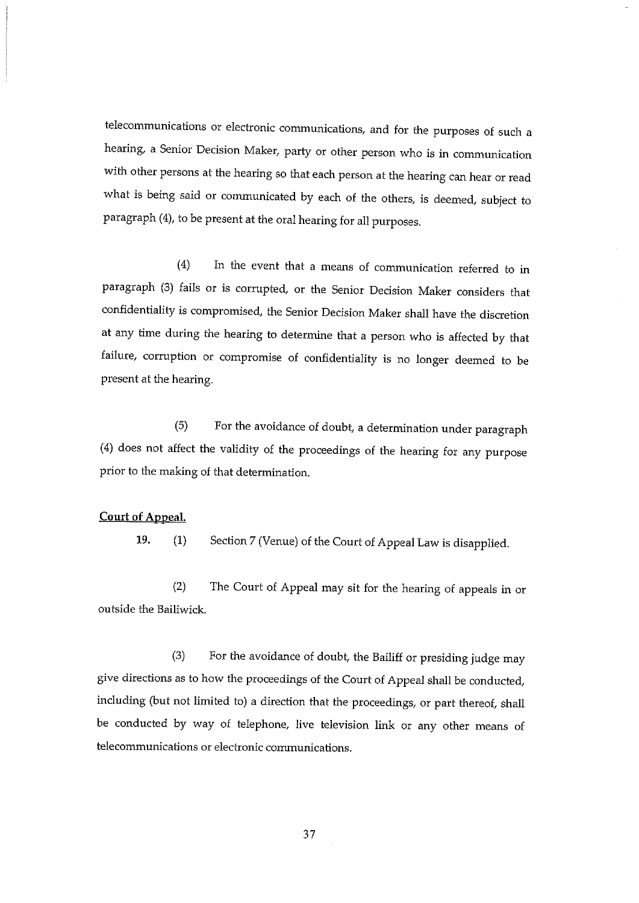telecommunications or electronic communications, and for the purposes of such a hearing, a Senior Decision Maker, party or other person who is in communication with other persons at the hearing so that each person at the hearing can hear or read what is being said or communicated by each of the others, is deemed, subject to paragraph (4), to be present at the oral hearing for all purposes.

(4) In the event that <sup>a</sup> means of communication referred to in paragraph (3) fails or is corrupted, or the Senior Decision Maker considers that confidentiality is compromised, the Senior Decision Maker shall have the discretion at any time during the hearing to determine that <sup>a</sup> person who is affected by that failure, corruption or compromise of confidentiality is no longer deemed to be present at the hearing.

(5) For the avoidance of doubt, a determination under paragraph (4) does not affect the validity of the proceedings of the hearing for any purpose prior to the making of that determination.

## Court of Appeal.

19. (1) Section 7 (Venue) of the Court of Appeal Law is disapplied.

(2) The Court of Appeal may sit for the hearing of appeals in or outside the Bailiwick.

(3) For the avoidance of doubt, the Bailiff or presiding judge may give directions as to how the proceedings of the Court of Appeal shall be conducted, including (but not limited to) a direction that the proceedings, or part thereof, shall be conducted by way of telephone, live television link or any other means of telecommunications or electronic communications.

37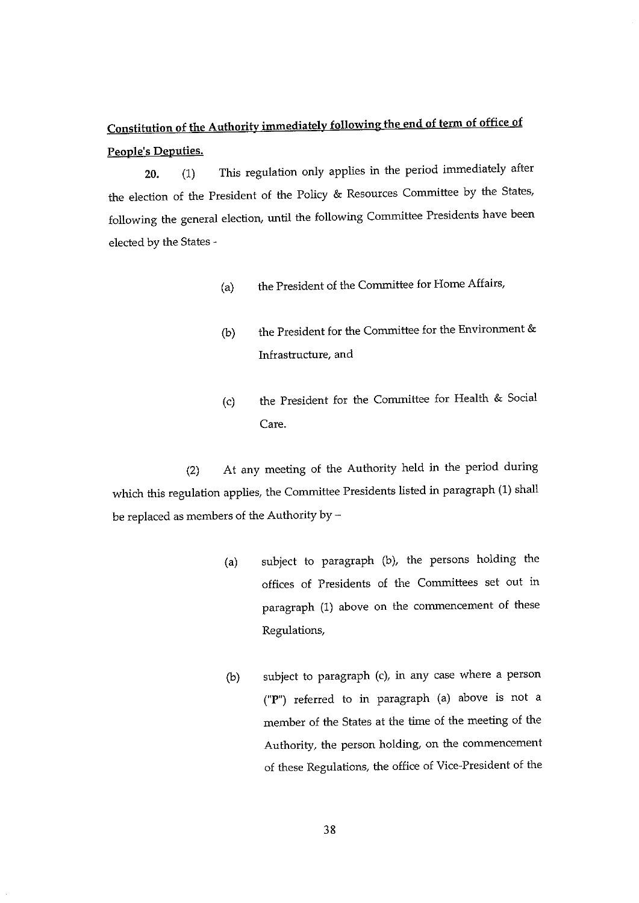## Constitution of the Authority immediately following the end of term of office of People's Deputies.

20. (1) This regulation only applies in the period immediately after the election of the President of the Policy & Resources Committee by the States, following the general election, until the following Committee Presidents have been elected by the States -

- (a) the President of the Committee for Home Affairs,
- (b) the President for the Committee for the Environment & Infrastructure, and
- (c) the President for the Committee for Health & Social Care.

(2) At any meeting of the Authority held in the period during which this regulation applies, the Committee Presidents listed in paragraph (1) shall be replaced as members of the Authority by —

- (a) subject to paragraph (b), the persons holding the offices of Presidents of the Committees set out in paragraph (1) above on the commencement of these Regulations,
- (b) subject to paragraph (c), in any case where a person ("P') referred to in paragraph (a) above is not a member of the States at the time of the meeting of the Authority, the person holding, on the commencement of these Regulations, the office of Vice-President of the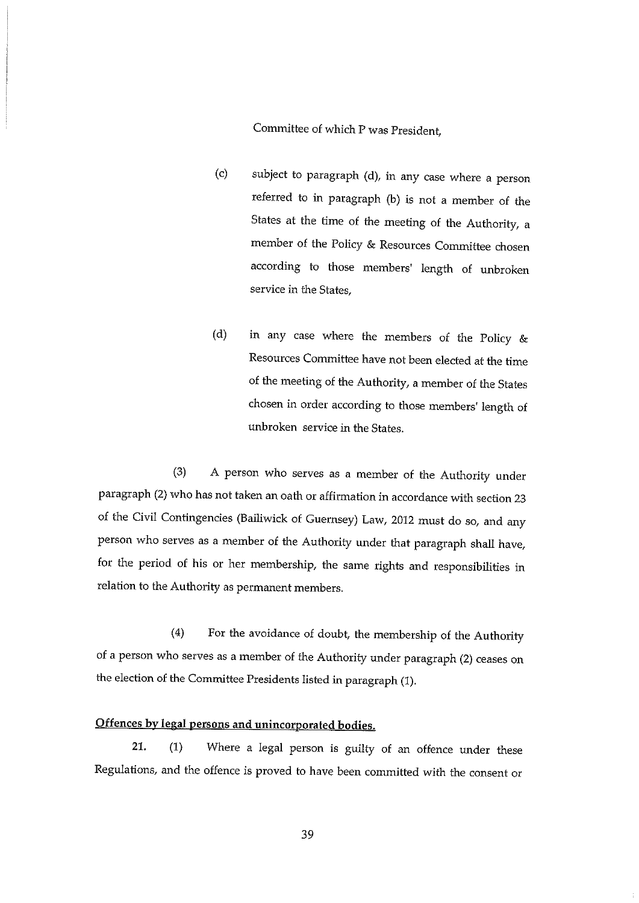Committee of which P was President

- (c) subject to paragraph (d), in any case where a person referred to in paragraph (b) is not a member of the States at the time of the meeting of the Authority, <sup>a</sup> member of the Policy & Resources Committee chosen according to those members' length of unbroken service in the States,
- (d) in any case where the members of the Policy & Resources Committee have not been elected at the time of the meeting of the Authority, <sup>a</sup> member of the States chosen in order according to those members' length of unbroken service in the States.

(3) A person who serves as <sup>a</sup> member of the Authority under paragraph (2) who has not taken an oath or affirmation in accordance with section 23 of the Civil Contingencies (Bailiwick of Guernsey) Law, 2012 must do so, and any person who serves as <sup>a</sup> member of the Authority under that paragraph shall have, for the period of his or her membership, the same rights and responsibilities in relation to the Authority as permanent members.

(4) For the avoidance of doubt, the membership of the Authority of <sup>a</sup> person who serves as a member of the Authority under paragraph (2) ceases on the election of the Committee Presidents listed in paragraph (1).

## Offences by legal persons and unincorporated bodies.

21. (1) Where <sup>a</sup> legal person is guilty of an offence under these Regulations, and the offence is proved to have been committed with the consent or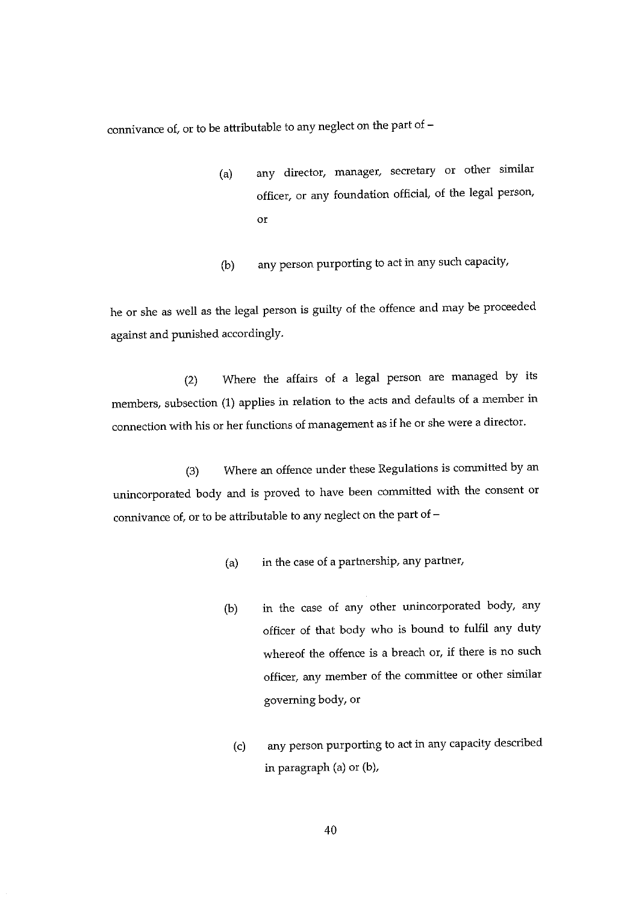connivance of, or to be attributable to any neglect on the part of —

- (a) any director, manager, secretary or other similar officer, or any foundation official, of the legal person, or
- (b) any person purporting to act in any such capacity,

he or she as well as the legal person is guilty of the offence and may be proceeded against and punished accordingly.

(2) Where the affairs of a legal person are managed by its members, subsection (1) applies in relation to the acts and defaults of <sup>a</sup> member in cormection with his or her functions of management as if he or she were <sup>a</sup> director.

(3) Where an offence under these Regulations is committed by an unincorporated body and is proved to have been committed with the consent or connivance of, or to be attributable to any neglect on the part of —

- (a) in the case of a partnership, any partner,
- (b) in the case of any other unincorporated body, any officer of that body who is bound to fulfil any duty whereof the offence is <sup>a</sup> breach or, if there is no such officer, any member of the committee or other similar governing body, or
	- (c) any person purporting to act in any capacity described in paragraph (a) or (b),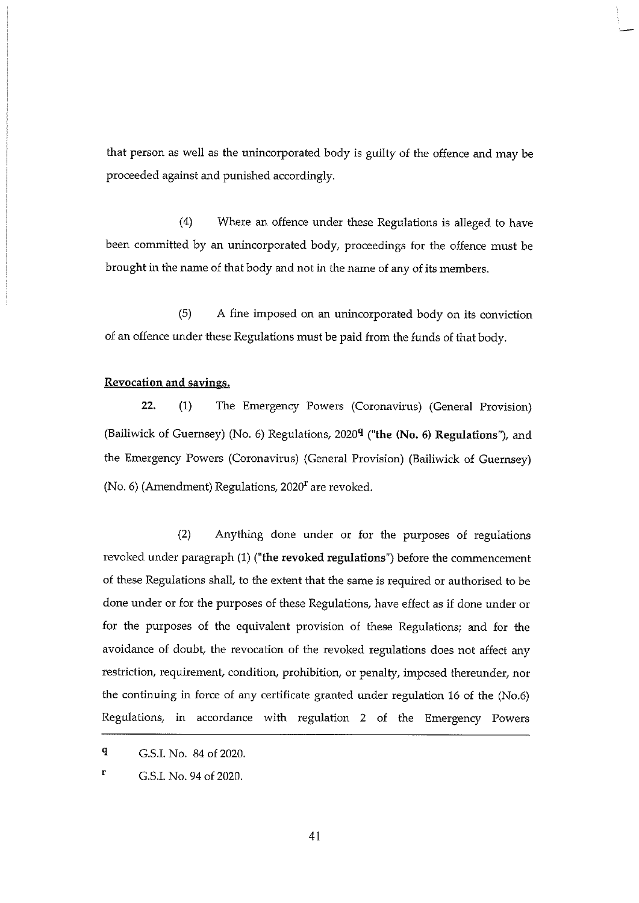that person as well as the unincorporated body is guilty of the offence and may be proceeded against and punished accordingly.

(4) Where an offence under these Regulations is alleged to have been committed by an unincorporated body, proceedings for the offence must be brought in the name of that body and not in the name of any of its members.

(5) A fine imposed on an unincorporated body on its conviction of an offence under these Regulations must be paid from the funds of that body.

## Revocation and savings.

22. (1) The Emergency Powers (Coronavirus) (General Provision) (Bailiwick of Guernsey) (No. 6) Regulations,  $2020<sup>q</sup>$  ("the (No. 6) Regulations"), and the Emergency Powers (Coronavirus) (General Provision) (Bailiwick of Guernsey) (No. 6) (Amendment) Regulations,  $2020<sup>r</sup>$  are revoked.

(2) Anything done under or for the purposes of regulations revoked under paragraph (1) ("the revoked regulations") before the commencement of these Regulations shall, to the extent that the same is required or authorised to be done under or for the purposes of these Regulations, have effect as if done under or for the purposes of the equivalent provision of these Regulations; and for the avoidance of doubt, the revocation of the revoked regulations does not affect any restriction, requirement, condition, prohibition, or penalty, imposed thereunder, nor the continuing in force of any certificate granted under regulation 16 of the (No.6) Regulations, in accordance with regulation 2 of the Emergency Powers

q G.S.I. No. 84 of 2020.

r G.S.I. No. 94 of 2020.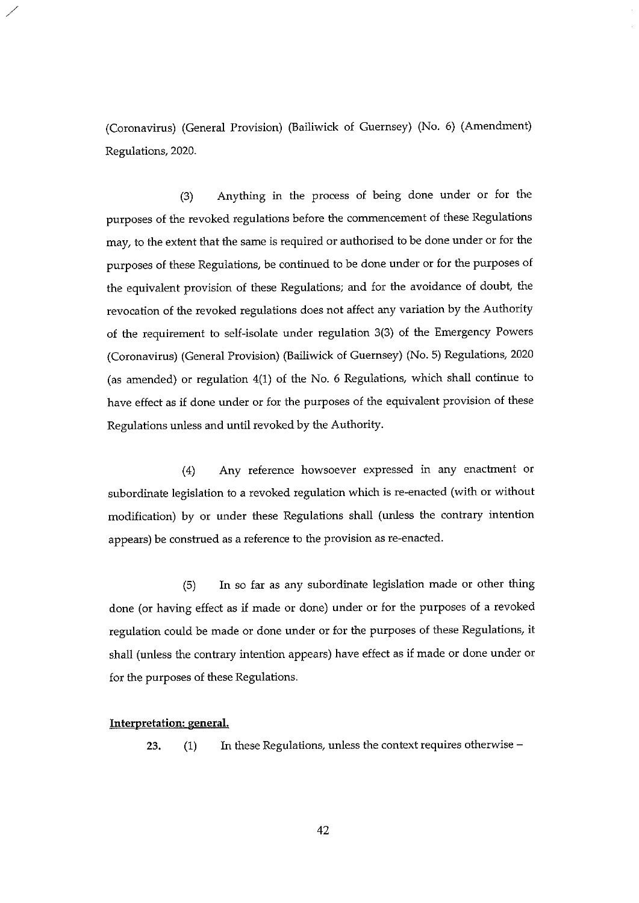(Coronavirus) (General Provision) (Bailiwick of Guernsey) (No. 6) (Amendment) Regulations, 2020.

(3) Anything in the process of being done under or for the purposes of the revoked regulations before the commencement of these Regulations may, to the extent that the same is required or authorised to be done under or for the purposes of these Regulations, be continued to be done under or for the purposes of the equivalent provision of these Regulations; and for the avoidance of doubt, the revocation of the revoked regulations does not affect any variation by the Authority of the requirement to self-isolate under regulation 3(3) of the Emergency Powers (Coronavirus) (General Provision) (Bailiwick of Guernsey) (No. 5) Regulations, 2020 (as amended) or regulation 4(1) of the No. 6 Regulations, which shall continue to have effect as if done under or for the purposes of the equivalent provision of these Regulations unless and until revoked by the Authority.

(4) Any reference howsoever expressed in any enactment or subordinate legislation to <sup>a</sup> revoked regulation which is re-enacted (with or without modification) by or under these Regulations shall (unless the contrary intention appears) be construed as a reference to the provision as re-enacted.

(5) In so far as any subordinate legislation made or other thing done (or having effect as if made or done) under or for the purposes of <sup>a</sup> revoked regulation could be made or done under or for the purposes of these Regulations, it shall (unless the contrary intention appears) have effect as if made or done under or for the purposes of these Regulations.

#### Interpretation: general.

23. (1) In these Regulations, unless the context requires otherwise —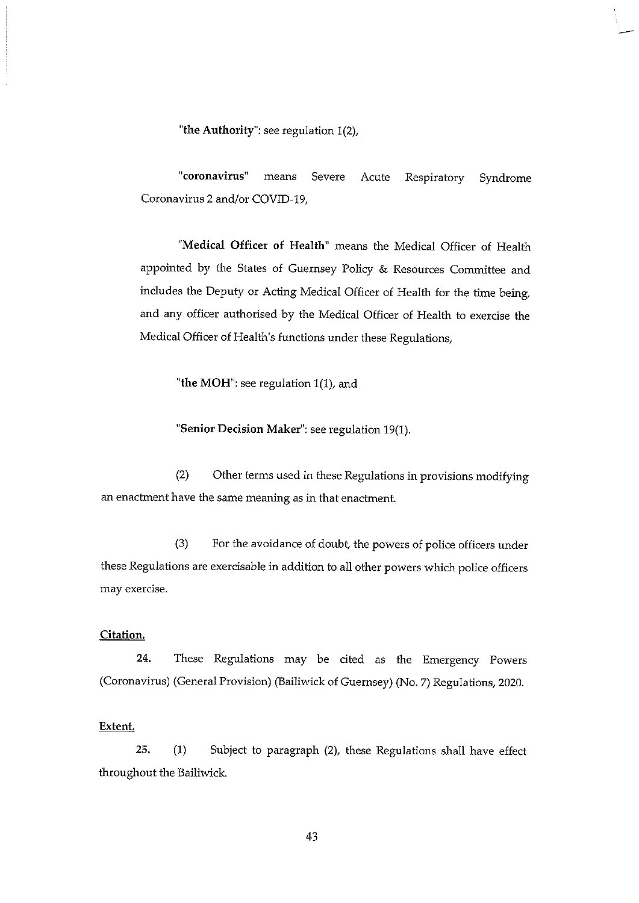'the Authority": see regulation 1(2),

"coronavirus" means Severe Acute Respiratory Syndrome Coronavirus 2 and/or COVID-19,

"Medical Officer of Health" means the Medical Officer of Health appointed by the States of Guernsey Policy & Resources Committee and includes the Deputy or Acting Medical Officer of Health for the time being, and any officer authorised by the Medical Officer of Health to exercise the Medical Officer of Health's functions under these Regulations,

"the MOH": see regulation 1(1), and

"Senior Decision Maker": see regulation 19(1).

(2) Other terms used in these Regulations in provisions modifying an enactment have the same meaning as in that enactment.

(3) For the avoidance of doubt, the powers of police officers under these Regulations are exercisable in addition to all other powers which police officers may exercise.

## Citation,

24. These Regulations may be cited as the Emergency Powers (Coronavirus) (General Provision) (Bailiwick of Guernsey) (No. 7) Regulations, 2020.

#### Extent.

25. (1) Subject to paragraph (2), these Regulations shall have effect throughout the Bailiwick.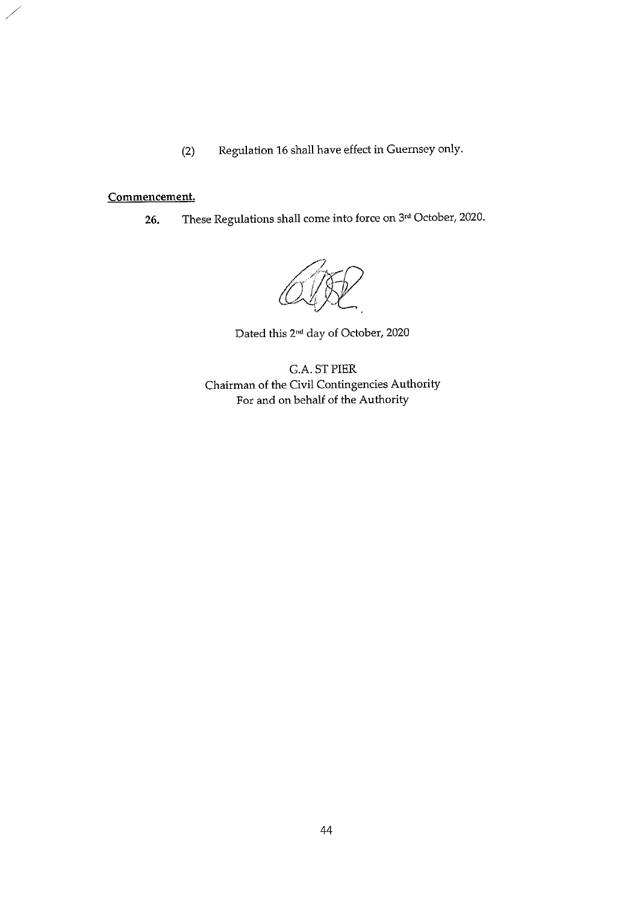(2) Regulation 16 shall have effect in Guernsey only.

## Commencement.

26. These Regulations shall come into force on 3rd October, 2020.

Dated this 2nd day of October, 2020

GA. STPIER Chairman of the Civil Contingencies Authority For and on behalf of the Authority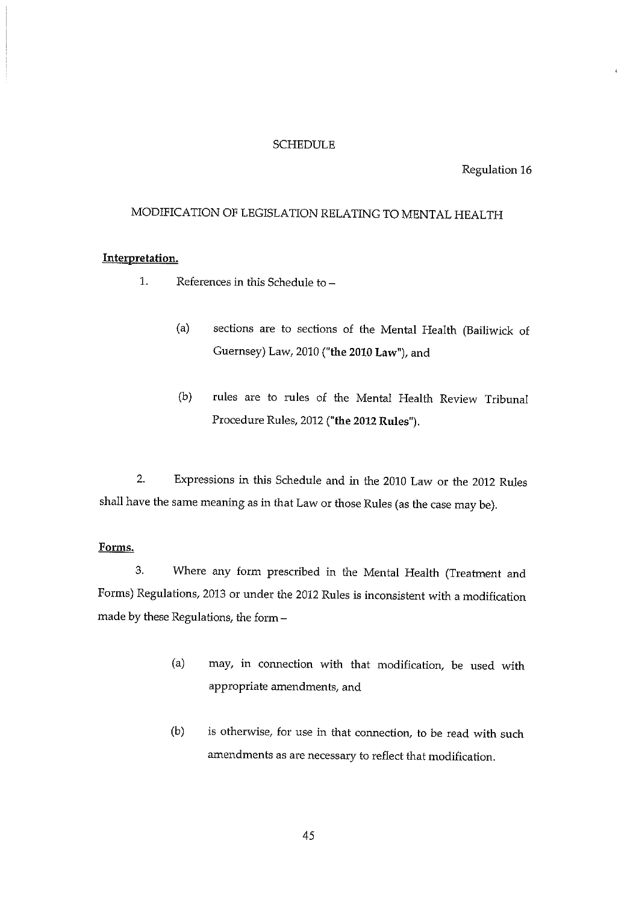## SCHEDULE

Regulation 16

## MODIFICATION OF LEGISLATION RELATING TO MENTAL HEALTH

## Interpretation.

- 1. References in this Schedule to
	- (a) sections are to sections of the Mental Health (Bailiwick of Guernsey) Law, 2010 ("the 2010 Law"), and
	- (b) rules are to rules of the Mental Health Review Tribunal Procedure Rules, 2012 ("the 2012 Rules").

2. Expressions in this Schedule and in the 2010 Law or the 2012 Rules shall have the same meaning as in that Law or those Rules (as the case may be).

### Forms.

3. Where any form prescribed in the Mental Health (Treatment and Forms) Regulations, 2013 or under the 2012 Rules is inconsistent with a modification made by these Regulations, the form —

- (a) may, in connection with that modification, be used with appropriate amendments, and
- (b) is otherwise, for use in that connection, to be read with such amendments as are necessary to reflect that modification.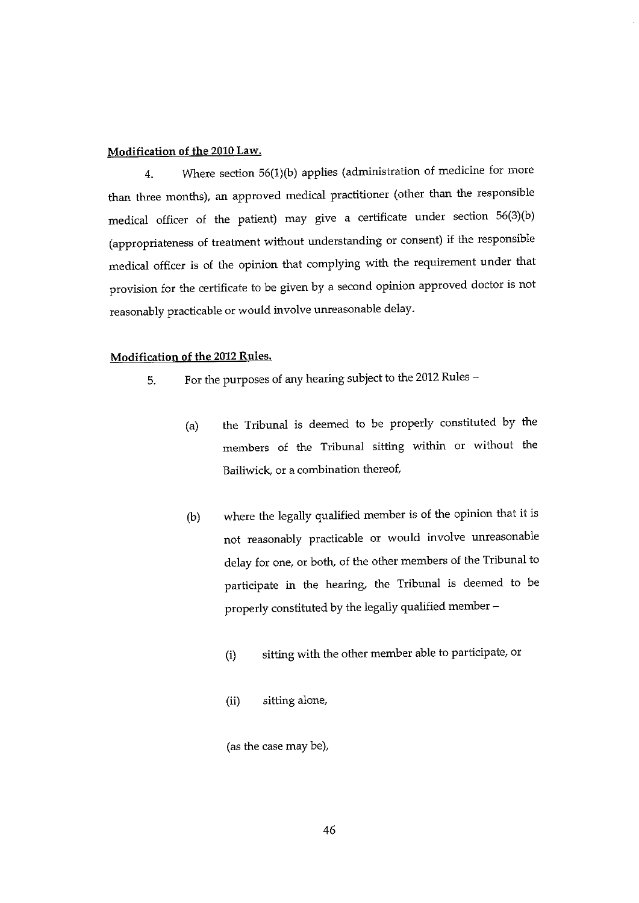#### Modification of the 2010 Law.

4. Where section 56(1)(b) applies (administration of medicine for more than three months), an approved medical practitioner (other than the responsible medical officer of the patient) may give a certificate under section  $56(3)(b)$ (appropriateness of treatment without understanding or consent) if the responsible medical officer is of the opinion that complying with the requirement under that provision for the certificate to be given by a second opinion approved doctor is not reasonably practicable or would involve unreasonable delay.

## Modification of the 2012 Rules.

- 5. For the purposes of any hearing subject to the 2012 Rules
	- (a) the Tribunal is deemed to be properly constituted by the members of the Tribunal sitting within or without the Bailiwick, or a combination thereof,
	- (b) where the legally qualified member is of the opinion that it is not reasonably practicable or would involve unreasonable delay for one, or both, of the other members of the Tribunal to participate in the hearing, the Tribunal is deemed to be properly constituted by the legally qualified member —
		- (i) sitting with the other member able to participate, or
		- (ii) sitting alone,

(as the case may be),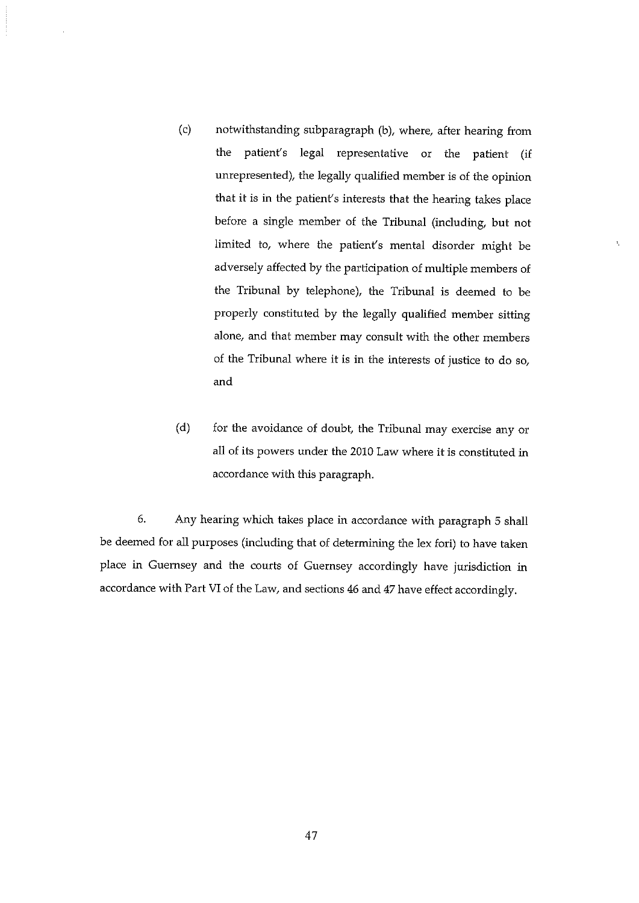- (c) notwithstanding subparagraph (b), where, after hearing from the patient's legal representative or the patient (if unrepresented), the legally qualified member is of the opinion that it is in the patient's interests that the hearing takes place before a single member of the Tribunal (including, but not limited to, where the patient's mental disorder might be adversely affected by the participation of multiple members of the Tribunal by telephone), the Tribunal is deemed to be properly constituted by the legally qualified member sitting alone, and that member may consult with the other members of the Tribunal where it is in the interests of justice to do so, and
- $(d)$  for the avoidance of doubt, the Tribunal may exercise any or all of its powers under the 2010 Law where it is constituted in accordance with this paragraph.

6. Any hearing which takes place in accordance with paragraph <sup>5</sup> shall be deemed for all purposes (including that of determining the lex fori) to have taken place in Guernsey and the courts of Guernsey accordingly have jurisdiction in accordance with Part VI of the Law, and sections 46 and 47 have effect accordingly.

47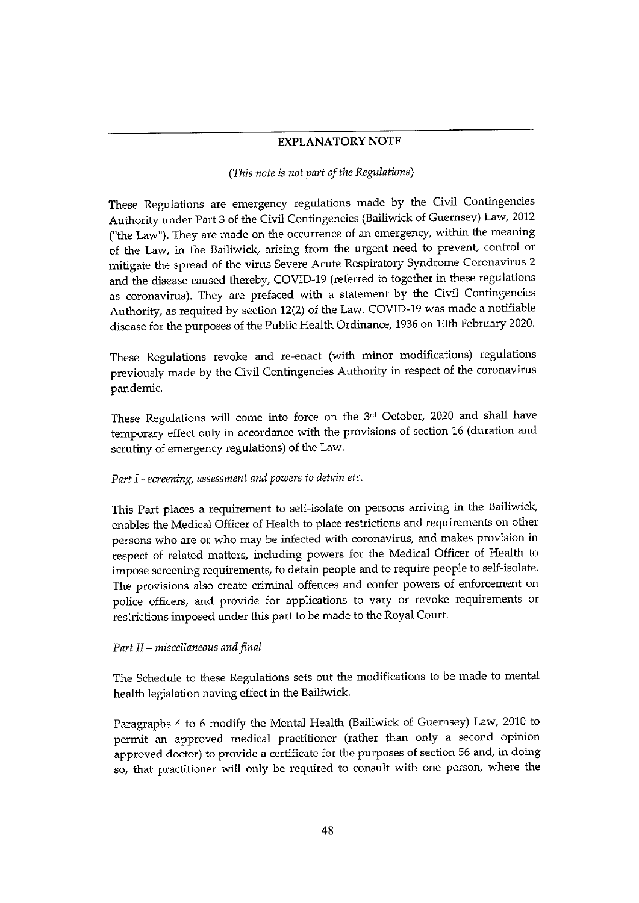## EXPLANATORY NOTE

#### (This note is not part of the Regulations)

These Regulations are emergency regulations made by the Civil Contingencies Authority under Part 3 of the Civil Contingencies (Bailiwick of Guernsey) Law, 2012 ("the Law"). They are made on the occurrence of an emergency, within the meaning of the Law, in the Bailiwick, arising from the urgent need to prevent, control or mitigate the spread of the virus Severe Acute Respiratory Syndrome Coronavirus 2 and the disease caused thereby, COVID-19 (referred to together in these regulations as coronavirus). They are prefaced with <sup>a</sup> statement by the Civil Contingencies Authority, as required by section 12(2) of the Law. COVID-19 was made a notifiable disease for the purposes of the Public Health Ordinance, 1936 on 10th February 2020.

These Regulations revoke and re-enact (with minor modifications) regulations previously made by the Civil Contingencies Authority in respect of the coronavirus pandemic.

These Regulations will come into force on the 3rd October, 2020 and shall have temporary effect only in accordance with the provisions of section 16 (duration and scrutiny of emergency regulations) of the Law.

#### Part I - screening, assessment and powers to detain etc.

This Part places a requirement to self-isolate on persons arriving in the Bailiwick, enables the Medical Officer of Health to place restrictions and requirements on other persons who are or who may be infected with coronavirus, and makes provision in respect of related matters, including powers for the Medical Officer of Health to impose screening requirements, to detain people and to require people to self-isolate. The provisions also create criminal offences and confer powers of enforcement on police officers, and provide for applications to vary or revoke requirements or restrictions imposed under this part to be made to the Royal Court.

#### Part II — miscellaneous and final

The Schedule to these Regulations sets out the modifications to be made to mental health legislation having effect in the Bailiwick.

Paragraphs 4 to <sup>6</sup> modify the Mental Health (Bailiwick of Guernsey) Law, 2010 to permit an approved medical practitioner (rather than only a second opinion approved doctor) to provide a certificate for the purposes of section 56 and, in doing so, that practitioner will only be required to consult with one person, where the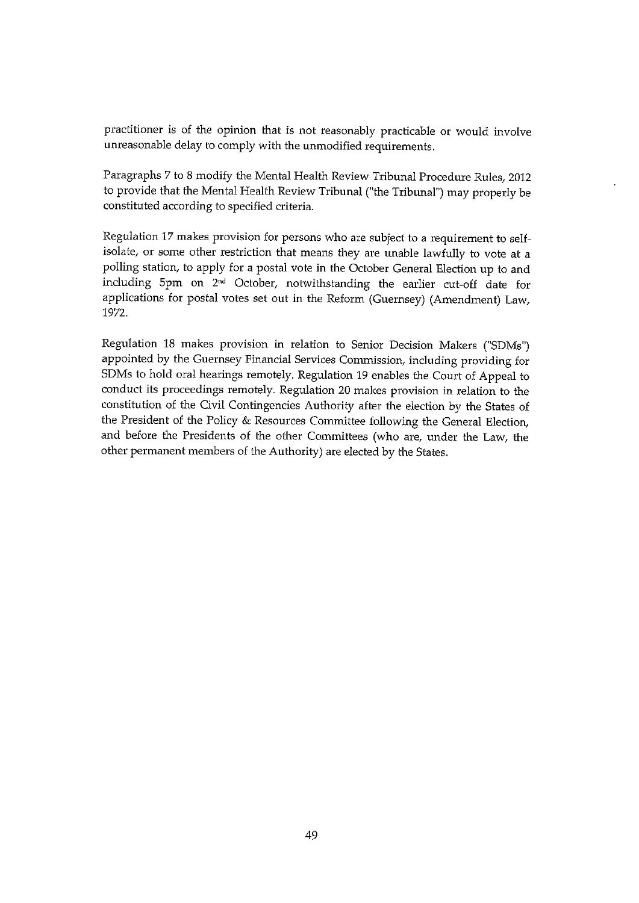practitioner is of the opinion that is not reasonably practicable or would involve unreasonable delay to comply with the unmodified requirements.

Paragraphs 7 to <sup>8</sup> modify the Mental Health Review Tribunal Procedure Rules, 2012 to provide that the Mental Health Review Tribunal ("the Tribunal") may properly be constituted according to specified criteria.

Regulation 17 makes provision for persons who are subject to a requirement to selfisolate, or some other restriction that means they are unable lawfully to vote at <sup>a</sup> polling station, to apply for <sup>a</sup> postal vote in the October General Election up to and including 5pm on 2nd October, notwithstanding the earlier cut-off date for applications for postal votes set out in the Reform (Guernsey) (Amendment) Law, 1972.

Regulation 18 makes provision in relation to Senior Decision Makers ("SDMs") appointed by the Guernsey Financial Services Commission, including providing for SDMs to hold oral hearings remotely. Regulation 19 enables the Court of Appeal to conduct its proceedings remotely. Regulation 20 makes provision in relation to the constitution of the Civil Contingencies Authority after the election by the States of the President of the Policy & Resources Committee following the General Election, and before the Presidents of the other Committees (who are, under the Law, the other permanent members of the Authority) are elected by the States.